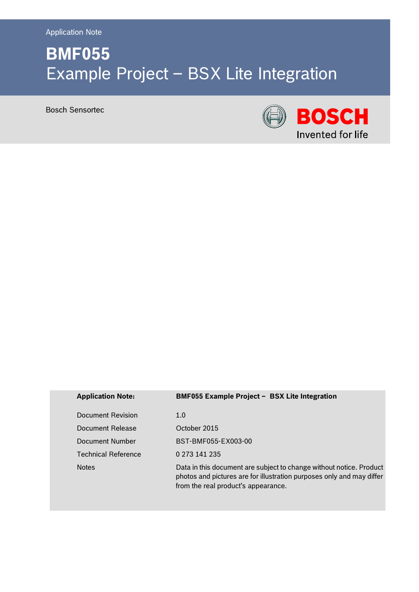Application Note

# **BMF055** Example Project – BSX Lite Integration

Bosch Sensortec



#### **Application Note: BMF055 Example Project – BSX Lite Integration**

| 1.0                                                                                                                                                                                 |
|-------------------------------------------------------------------------------------------------------------------------------------------------------------------------------------|
| October 2015                                                                                                                                                                        |
| BST-BMF055-EX003-00                                                                                                                                                                 |
| 0 273 141 235                                                                                                                                                                       |
| Data in this document are subject to change without notice. Product<br>photos and pictures are for illustration purposes only and may differ<br>from the real product's appearance. |
|                                                                                                                                                                                     |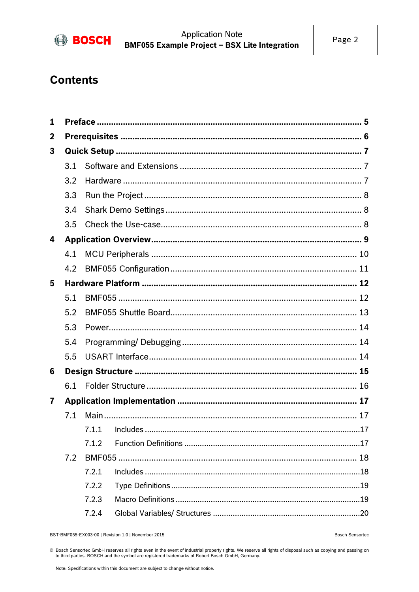

### **Contents**

| 1 |     |       |  |
|---|-----|-------|--|
| 2 |     |       |  |
| 3 |     |       |  |
|   | 3.1 |       |  |
|   | 3.2 |       |  |
|   | 3.3 |       |  |
|   | 3.4 |       |  |
|   | 3.5 |       |  |
| 4 |     |       |  |
|   | 4.1 |       |  |
|   | 4.2 |       |  |
| 5 |     |       |  |
|   | 5.1 |       |  |
|   | 5.2 |       |  |
|   | 5.3 |       |  |
|   | 5.4 |       |  |
|   | 5.5 |       |  |
| 6 |     |       |  |
|   | 6.1 |       |  |
| 7 |     |       |  |
|   | 7.1 |       |  |
|   |     | 7.1.1 |  |
|   |     | 7.1.2 |  |
|   | 7.2 |       |  |
|   |     | 7.2.1 |  |
|   |     | 7.2.2 |  |
|   |     | 7.2.3 |  |
|   |     | 7.2.4 |  |

BST-BMF055-EX003-00 | Revision 1.0 | November 2015

**Bosch Sensortec**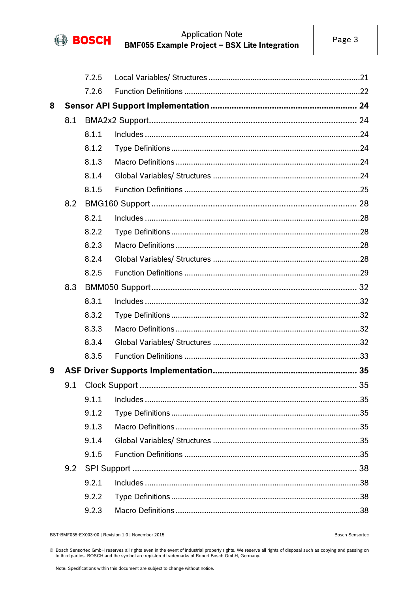

|   |     | 7.2.5 |  |
|---|-----|-------|--|
|   |     | 7.2.6 |  |
| 8 |     |       |  |
|   | 8.1 |       |  |
|   |     | 8.1.1 |  |
|   |     | 8.1.2 |  |
|   |     | 8.1.3 |  |
|   |     | 8.1.4 |  |
|   |     | 8.1.5 |  |
|   | 8.2 |       |  |
|   |     | 8.2.1 |  |
|   |     | 8.2.2 |  |
|   |     | 8.2.3 |  |
|   |     | 8.2.4 |  |
|   |     | 8.2.5 |  |
|   | 8.3 |       |  |
|   |     | 8.3.1 |  |
|   |     | 8.3.2 |  |
|   |     | 8.3.3 |  |
|   |     | 8.3.4 |  |
|   |     | 8.3.5 |  |
| 9 |     |       |  |
|   | 9.1 |       |  |
|   |     | 9.1.1 |  |
|   |     | 9.1.2 |  |
|   |     | 9.1.3 |  |
|   |     | 9.1.4 |  |
|   |     | 9.1.5 |  |
|   | 9.2 |       |  |
|   |     | 9.2.1 |  |
|   |     | 9.2.2 |  |
|   |     | 9.2.3 |  |

BST-BMF055-EX003-00 | Revision 1.0 | November 2015

**Bosch Sensortec** 

© Bosch Sensortec GmbH reserves all rights even in the event of industrial property rights. We reserve all rights of disposal such as copying and passing on to third parties. BOSCH and the symbol are registered trademarks of Robert Bosch GmbH, Germany.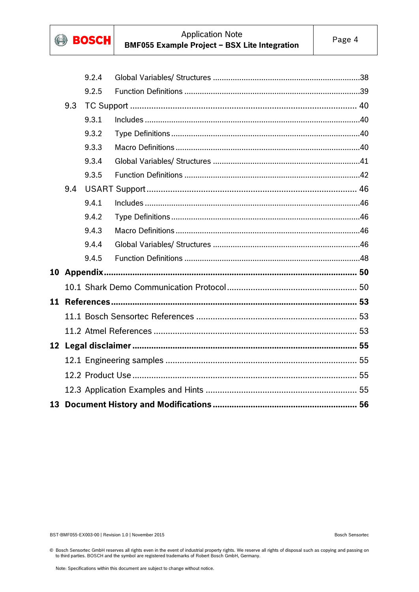

|     | 9.2.4 |  |
|-----|-------|--|
|     | 9.2.5 |  |
| 9.3 |       |  |
|     | 9.3.1 |  |
|     | 9.3.2 |  |
|     | 9.3.3 |  |
|     | 9.3.4 |  |
|     | 9.3.5 |  |
| 9.4 |       |  |
|     | 9.4.1 |  |
|     | 9.4.2 |  |
|     | 9.4.3 |  |
|     | 9.4.4 |  |
|     | 9.4.5 |  |
|     |       |  |
|     |       |  |
|     |       |  |
|     |       |  |
|     |       |  |
|     |       |  |
|     |       |  |
|     |       |  |
|     |       |  |
|     |       |  |
|     |       |  |

BST-BMF055-EX003-00 | Revision 1.0 | November 2015 | November 2015 | November 2015 | November 2015 | Bosch Sensortec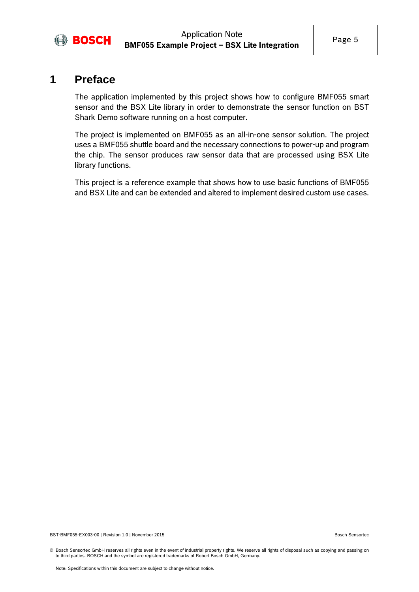

### <span id="page-4-0"></span>**1 Preface**

The application implemented by this project shows how to configure BMF055 smart sensor and the BSX Lite library in order to demonstrate the sensor function on BST Shark Demo software running on a host computer.

The project is implemented on BMF055 as an all-in-one sensor solution. The project uses a BMF055 shuttle board and the necessary connections to power-up and program the chip. The sensor produces raw sensor data that are processed using BSX Lite library functions.

This project is a reference example that shows how to use basic functions of BMF055 and BSX Lite and can be extended and altered to implement desired custom use cases.

BST-BMF055-EX003-00 | Revision 1.0 | November 2015 Bosch Sensortec

© Bosch Sensortec GmbH reserves all rights even in the event of industrial property rights. We reserve all rights of disposal such as copying and passing on to third parties. BOSCH and the symbol are registered trademarks of Robert Bosch GmbH, Germany.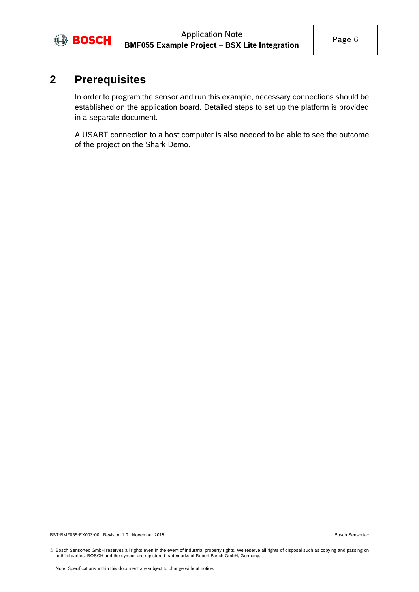

### <span id="page-5-0"></span>**2 Prerequisites**

In order to program the sensor and run this example, necessary connections should be established on the application board. Detailed steps to set up the platform is provided in a separate document.

A USART connection to a host computer is also needed to be able to see the outcome of the project on the Shark Demo.

BST-BMF055-EX003-00 | Revision 1.0 | November 2015 | November 2015 | November 2015 | November 2015 | Bosch Sensortec

© Bosch Sensortec GmbH reserves all rights even in the event of industrial property rights. We reserve all rights of disposal such as copying and passing on to third parties. BOSCH and the symbol are registered trademarks of Robert Bosch GmbH, Germany.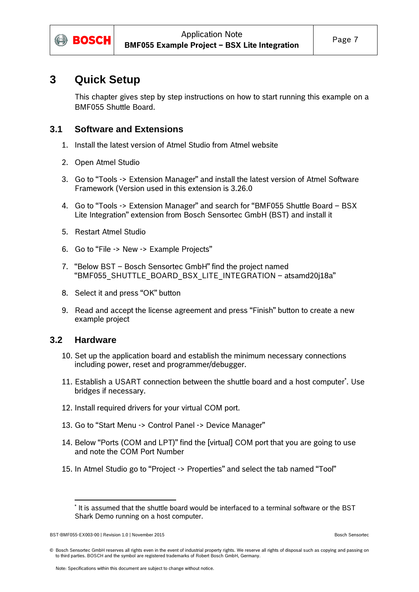

### <span id="page-6-0"></span>**3 Quick Setup**

This chapter gives step by step instructions on how to start running this example on a BMF055 Shuttle Board.

#### <span id="page-6-1"></span>**3.1 Software and Extensions**

- 1. Install the latest version of Atmel Studio from Atmel website
- 2. Open Atmel Studio
- 3. Go to "Tools -> Extension Manager" and install the latest version of Atmel Software Framework (Version used in this extension is 3.26.0
- 4. Go to "Tools -> Extension Manager" and search for "BMF055 Shuttle Board BSX Lite Integration" extension from Bosch Sensortec GmbH (BST) and install it
- 5. Restart Atmel Studio
- 6. Go to "File -> New -> Example Projects"
- 7. "Below BST Bosch Sensortec GmbH" find the project named "BMF055\_SHUTTLE\_BOARD\_BSX\_LITE\_INTEGRATION – atsamd20j18a"
- 8. Select it and press "OK" button
- 9. Read and accept the license agreement and press "Finish" button to create a new example project

#### <span id="page-6-2"></span>**3.2 Hardware**

- 10. Set up the application board and establish the minimum necessary connections including power, reset and programmer/debugger.
- 11. Establish a USART connection between the shuttle board and a host computer\* . Use bridges if necessary.
- 12. Install required drivers for your virtual COM port.
- 13. Go to "Start Menu -> Control Panel -> Device Manager"
- 14. Below "Ports (COM and LPT)" find the [virtual] COM port that you are going to use and note the COM Port Number
- 15. In Atmel Studio go to "Project -> Properties" and select the tab named "Tool"

i

<sup>\*</sup> It is assumed that the shuttle board would be interfaced to a terminal software or the BST Shark Demo running on a host computer.

BST-BMF055-EX003-00 | Revision 1.0 | November 2015 Bosch Sensortec

<sup>©</sup> Bosch Sensortec GmbH reserves all rights even in the event of industrial property rights. We reserve all rights of disposal such as copying and passing on to third parties. BOSCH and the symbol are registered trademarks of Robert Bosch GmbH, Germany.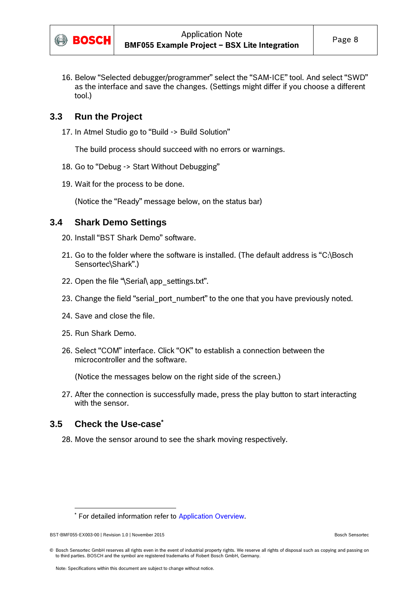

16. Below "Selected debugger/programmer" select the "SAM-ICE" tool. And select "SWD" as the interface and save the changes. (Settings might differ if you choose a different tool.)

#### <span id="page-7-0"></span>**3.3 Run the Project**

17. In Atmel Studio go to "Build -> Build Solution"

The build process should succeed with no errors or warnings.

- 18. Go to "Debug -> Start Without Debugging"
- 19. Wait for the process to be done.

(Notice the "Ready" message below, on the status bar)

#### <span id="page-7-1"></span>**3.4 Shark Demo Settings**

- 20. Install "BST Shark Demo" software.
- 21. Go to the folder where the software is installed. (The default address is "C:\Bosch Sensortec\Shark".)
- 22. Open the file "\Serial\ app\_settings.txt".
- 23. Change the field "serial\_port\_numbert" to the one that you have previously noted.
- 24. Save and close the file.
- 25. Run Shark Demo.
- 26. Select "COM" interface. Click "OK" to establish a connection between the microcontroller and the software.

(Notice the messages below on the right side of the screen.)

27. After the connection is successfully made, press the play button to start interacting with the sensor.

#### <span id="page-7-2"></span>**3.5 Check the Use-case\***

28. Move the sensor around to see the shark moving respectively.

1

<sup>\*</sup> For detailed information refer to [Application](#page-8-0) Overview.

BST-BMF055-EX003-00 | Revision 1.0 | November 2015 Bosch Sensortec

<sup>©</sup> Bosch Sensortec GmbH reserves all rights even in the event of industrial property rights. We reserve all rights of disposal such as copying and passing on to third parties. BOSCH and the symbol are registered trademarks of Robert Bosch GmbH, Germany.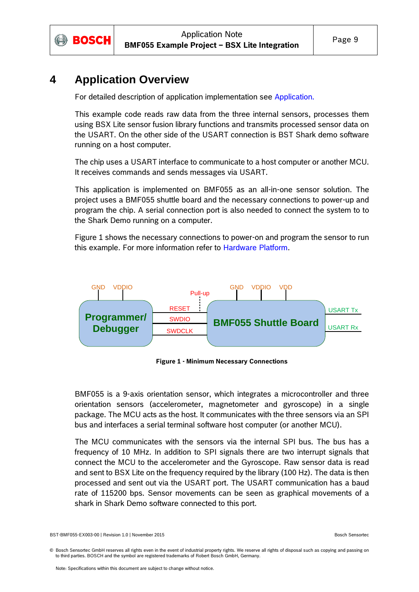

### <span id="page-8-0"></span>**4 Application Overview**

For detailed description of application implementation see [Application.](#page-16-0)

This example code reads raw data from the three internal sensors, processes them using BSX Lite sensor fusion library functions and transmits processed sensor data on the USART. On the other side of the USART connection is BST Shark demo software running on a host computer.

The chip uses a USART interface to communicate to a host computer or another MCU. It receives commands and sends messages via USART.

This application is implemented on BMF055 as an all-in-one sensor solution. The project uses a BMF055 shuttle board and the necessary connections to power-up and program the chip. A serial connection port is also needed to connect the system to to the Shark Demo running on a computer.

[Figure 1](#page-8-1) shows the necessary connections to power-on and program the sensor to run this example. For more information refer to [Hardware Platform.](#page-11-0)



**Figure 1 - Minimum Necessary Connections**

<span id="page-8-1"></span>BMF055 is a 9-axis orientation sensor, which integrates a microcontroller and three orientation sensors (accelerometer, magnetometer and gyroscope) in a single package. The MCU acts as the host. It communicates with the three sensors via an SPI bus and interfaces a serial terminal software host computer (or another MCU).

The MCU communicates with the sensors via the internal SPI bus. The bus has a frequency of 10 MHz. In addition to SPI signals there are two interrupt signals that connect the MCU to the accelerometer and the Gyroscope. Raw sensor data is read and sent to BSX Lite on the frequency required by the library (100 Hz). The data is then processed and sent out via the USART port. The USART communication has a baud rate of 115200 bps. Sensor movements can be seen as graphical movements of a shark in Shark Demo software connected to this port.

BST-BMF055-EX003-00 | Revision 1.0 | November 2015 Bosch Sensortec

<sup>©</sup> Bosch Sensortec GmbH reserves all rights even in the event of industrial property rights. We reserve all rights of disposal such as copying and passing on to third parties. BOSCH and the symbol are registered trademarks of Robert Bosch GmbH, Germany.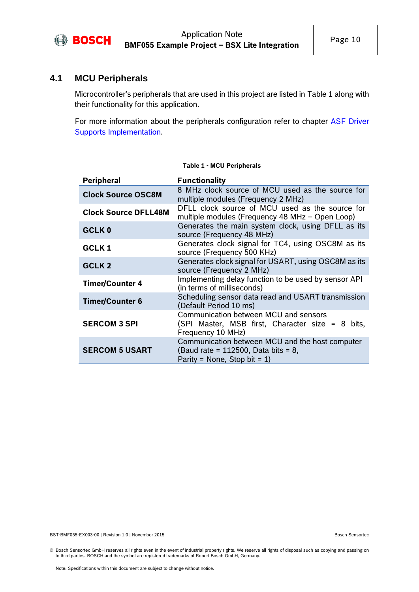

#### <span id="page-9-0"></span>**4.1 MCU Peripherals**

Microcontroller's peripherals that are used in this project are listed in [Table 1](#page-9-1) along with their functionality for this application.

For more information about the peripherals configuration refer to chapter [ASF Driver](#page-34-0) Supports [Implementation.](#page-34-0)

<span id="page-9-1"></span>

| <b>Peripheral</b>                                                                                                                 | <b>Functionality</b>                                                                                                         |  |  |
|-----------------------------------------------------------------------------------------------------------------------------------|------------------------------------------------------------------------------------------------------------------------------|--|--|
| <b>Clock Source OSC8M</b>                                                                                                         | 8 MHz clock source of MCU used as the source for<br>multiple modules (Frequency 2 MHz)                                       |  |  |
| DFLL clock source of MCU used as the source for<br><b>Clock Source DFLL48M</b><br>multiple modules (Frequency 48 MHz - Open Loop) |                                                                                                                              |  |  |
| GCLK <sub>0</sub>                                                                                                                 | Generates the main system clock, using DFLL as its<br>source (Frequency 48 MHz)                                              |  |  |
| GCLK1                                                                                                                             | Generates clock signal for TC4, using OSC8M as its<br>source (Frequency 500 KHz)                                             |  |  |
| GCLK <sub>2</sub>                                                                                                                 | Generates clock signal for USART, using OSC8M as its<br>source (Frequency 2 MHz)                                             |  |  |
| <b>Timer/Counter 4</b>                                                                                                            | Implementing delay function to be used by sensor API<br>(in terms of milliseconds)                                           |  |  |
| <b>Timer/Counter 6</b>                                                                                                            | Scheduling sensor data read and USART transmission<br>(Default Period 10 ms)                                                 |  |  |
| <b>SERCOM 3 SPI</b>                                                                                                               | Communication between MCU and sensors<br>(SPI Master, MSB first, Character size = 8 bits,<br>Frequency 10 MHz)               |  |  |
| <b>SERCOM 5 USART</b>                                                                                                             | Communication between MCU and the host computer<br>(Baud rate = $112500$ , Data bits = 8,<br>Parity = None, Stop bit = $1$ ) |  |  |

#### **Table 1 - MCU Peripherals**

BST-BMF055-EX003-00 | Revision 1.0 | November 2015 | November 2015 | November 2015 | November 2015 | Bosch Sensortec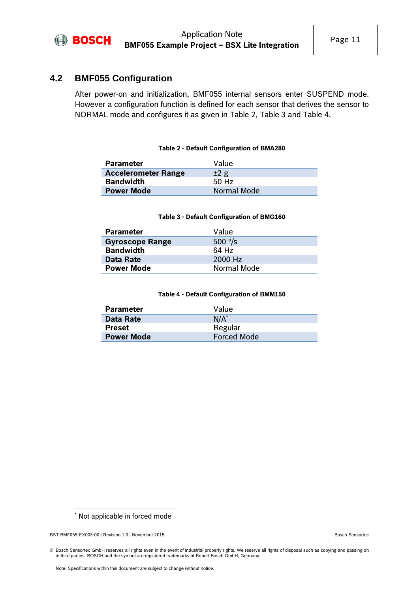

#### <span id="page-10-0"></span>**4.2 BMF055 Configuration**

After power-on and initialization, BMF055 internal sensors enter SUSPEND mode. However a configuration function is defined for each sensor that derives the sensor to NORMAL mode and configures it as given in [Table 2,](#page-10-1) [Table 3](#page-10-2) and [Table 4.](#page-10-3)

#### **Table 2 - Default Configuration of BMA280**

<span id="page-10-1"></span>

| <b>Parameter</b>           | Value       |
|----------------------------|-------------|
| <b>Accelerometer Range</b> | ±2 g        |
| <b>Bandwidth</b>           | $50$ Hz     |
| <b>Power Mode</b>          | Normal Mode |

#### **Table 3 - Default Configuration of BMG160**

<span id="page-10-2"></span>

| <b>Parameter</b>       | Value            |
|------------------------|------------------|
| <b>Gyroscope Range</b> | 500 $\degree$ /s |
| <b>Bandwidth</b>       | 64 Hz            |
| Data Rate              | 2000 Hz          |
| <b>Power Mode</b>      | Normal Mode      |

#### **Table 4 - Default Configuration of BMM150**

<span id="page-10-3"></span>

| <b>Parameter</b>  | Value              |
|-------------------|--------------------|
| Data Rate         | $N/A^*$            |
| Preset            | Regular            |
| <b>Power Mode</b> | <b>Forced Mode</b> |

1

<sup>\*</sup> Not applicable in forced mode

BST-BMF055-EX003-00 | Revision 1.0 | November 2015 | November 2015 | November 2015 | November 2015 | Bosch Sensortec

<sup>©</sup> Bosch Sensortec GmbH reserves all rights even in the event of industrial property rights. We reserve all rights of disposal such as copying and passing on to third parties. BOSCH and the symbol are registered trademarks of Robert Bosch GmbH, Germany.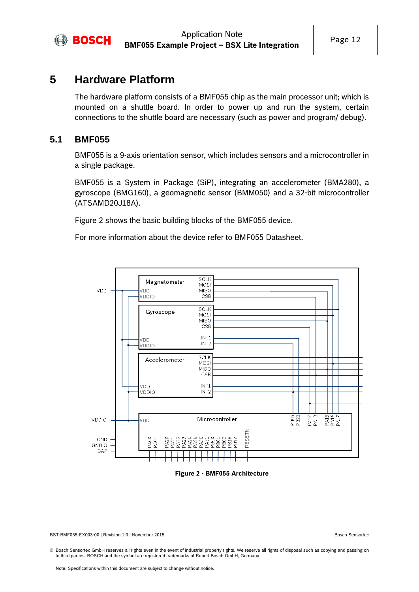

### <span id="page-11-0"></span>**5 Hardware Platform**

The hardware platform consists of a BMF055 chip as the main processor unit; which is mounted on a shuttle board. In order to power up and run the system, certain connections to the shuttle board are necessary (such as power and program/ debug).

#### <span id="page-11-1"></span>**5.1 BMF055**

BMF055 is a 9-axis orientation sensor, which includes sensors and a microcontroller in a single package.

BMF055 is a System in Package (SiP), integrating an accelerometer (BMA280), a gyroscope (BMG160), a geomagnetic sensor (BMM050) and a 32-bit microcontroller (ATSAMD20J18A).

[Figure 2](#page-11-2) shows the basic building blocks of the BMF055 device.

For more information about the device refer to BMF055 Datasheet.



**Figure 2 - BMF055 Architecture**

<span id="page-11-2"></span>BST-BMF055-EX003-00 | Revision 1.0 | November 2015 Bosch Sensortec

<sup>©</sup> Bosch Sensortec GmbH reserves all rights even in the event of industrial property rights. We reserve all rights of disposal such as copying and passing on to third parties. BOSCH and the symbol are registered trademarks of Robert Bosch GmbH, Germany.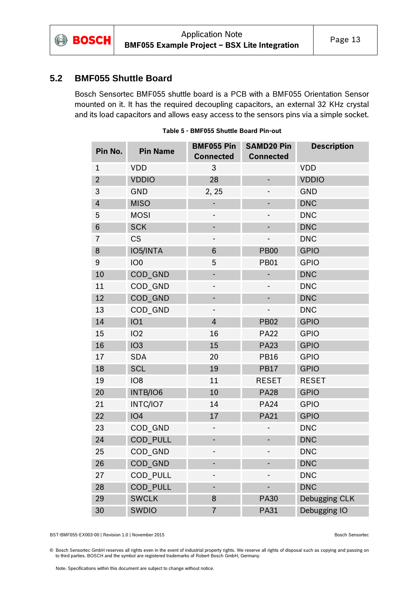

#### <span id="page-12-0"></span>**5.2 BMF055 Shuttle Board**

Bosch Sensortec BMF055 shuttle board is a PCB with a BMF055 Orientation Sensor mounted on it. It has the required decoupling capacitors, an external 32 KHz crystal and its load capacitors and allows easy access to the sensors pins via a simple socket.

| Pin No.        | <b>Pin Name</b> | <b>BMF055 Pin</b><br><b>Connected</b> | <b>SAMD20 Pin</b><br><b>Connected</b> | <b>Description</b> |
|----------------|-----------------|---------------------------------------|---------------------------------------|--------------------|
| $\mathbf{1}$   | <b>VDD</b>      | 3                                     |                                       | <b>VDD</b>         |
| $\overline{2}$ | <b>VDDIO</b>    | 28                                    |                                       | <b>VDDIO</b>       |
| 3              | <b>GND</b>      | 2, 25                                 |                                       | <b>GND</b>         |
| $\overline{4}$ | <b>MISO</b>     |                                       |                                       | <b>DNC</b>         |
| 5              | <b>MOSI</b>     |                                       |                                       | <b>DNC</b>         |
| $\,6$          | <b>SCK</b>      |                                       |                                       | <b>DNC</b>         |
| $\overline{7}$ | <b>CS</b>       |                                       |                                       | <b>DNC</b>         |
| 8              | IO5/INTA        | $6\phantom{1}6$                       | <b>PB00</b>                           | <b>GPIO</b>        |
| 9              | IO <sub>0</sub> | 5                                     | <b>PB01</b>                           | <b>GPIO</b>        |
| 10             | COD_GND         |                                       |                                       | <b>DNC</b>         |
| 11             | COD GND         |                                       |                                       | <b>DNC</b>         |
| 12             | COD_GND         | ۰                                     |                                       | <b>DNC</b>         |
| 13             | COD_GND         | ۰                                     |                                       | <b>DNC</b>         |
| 14             | IO1             | $\overline{4}$                        | <b>PB02</b>                           | <b>GPIO</b>        |
| 15             | IO <sub>2</sub> | 16                                    | <b>PA22</b>                           | <b>GPIO</b>        |
| 16             | IO <sub>3</sub> | 15                                    | <b>PA23</b>                           | <b>GPIO</b>        |
| 17             | <b>SDA</b>      | 20                                    | <b>PB16</b>                           | <b>GPIO</b>        |
| 18             | <b>SCL</b>      | 19                                    | <b>PB17</b>                           | <b>GPIO</b>        |
| 19             | IO <sub>8</sub> | 11                                    | <b>RESET</b>                          | <b>RESET</b>       |
| 20             | INTB/IO6        | 10                                    | <b>PA28</b>                           | <b>GPIO</b>        |
| 21             | INTC/IO7        | 14                                    | <b>PA24</b>                           | <b>GPIO</b>        |
| 22             | IO4             | 17                                    | <b>PA21</b>                           | <b>GPIO</b>        |
| 23             | COD GND         |                                       |                                       | <b>DNC</b>         |
| 24             | COD_PULL        |                                       |                                       | <b>DNC</b>         |
| 25             | COD_GND         |                                       |                                       | <b>DNC</b>         |
| 26             | COD_GND         |                                       |                                       | <b>DNC</b>         |
| 27             | <b>COD PULL</b> |                                       |                                       | <b>DNC</b>         |
| 28             | COD_PULL        |                                       |                                       | <b>DNC</b>         |
| 29             | <b>SWCLK</b>    | 8                                     | <b>PA30</b>                           | Debugging CLK      |
| 30             | <b>SWDIO</b>    | $\overline{7}$                        | <b>PA31</b>                           | Debugging IO       |

| Table 5 - BMF055 Shuttle Board Pin-out |  |  |
|----------------------------------------|--|--|
|                                        |  |  |

BST-BMF055-EX003-00 | Revision 1.0 | November 2015 | November 2015 | November 2015 | November 2015 | Bosch Sensortec

© Bosch Sensortec GmbH reserves all rights even in the event of industrial property rights. We reserve all rights of disposal such as copying and passing on to third parties. BOSCH and the symbol are registered trademarks of Robert Bosch GmbH, Germany.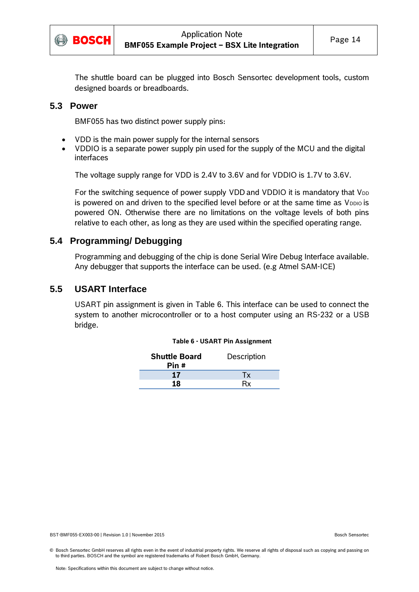

The shuttle board can be plugged into Bosch Sensortec development tools, custom designed boards or breadboards.

#### <span id="page-13-0"></span>**5.3 Power**

BMF055 has two distinct power supply pins:

- VDD is the main power supply for the internal sensors
- VDDIO is a separate power supply pin used for the supply of the MCU and the digital interfaces

The voltage supply range for VDD is 2.4V to 3.6V and for VDDIO is 1.7V to 3.6V.

For the switching sequence of power supply VDD and VDDIO it is mandatory that V<sub>DD</sub> is powered on and driven to the specified level before or at the same time as V<sub>DDIO</sub> is powered ON. Otherwise there are no limitations on the voltage levels of both pins relative to each other, as long as they are used within the specified operating range.

#### <span id="page-13-1"></span>**5.4 Programming/ Debugging**

Programming and debugging of the chip is done Serial Wire Debug Interface available. Any debugger that supports the interface can be used. (e.g Atmel SAM-ICE)

#### <span id="page-13-2"></span>**5.5 USART Interface**

<span id="page-13-3"></span>USART pin assignment is given in [Table 6.](#page-13-3) This interface can be used to connect the system to another microcontroller or to a host computer using an RS-232 or a USB bridge.

#### **Table 6 - USART Pin Assignment**

| <b>Shuttle Board</b><br>Pin # | Description |
|-------------------------------|-------------|
| 17                            | Тx          |
| 18                            | Rx          |

BST-BMF055-EX003-00 | Revision 1.0 | November 2015 Bosch Sensortec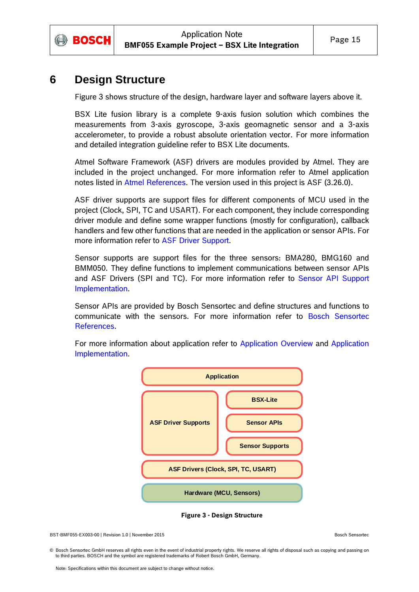

### <span id="page-14-0"></span>**6 Design Structure**

[Figure 3](#page-14-1) shows structure of the design, hardware layer and software layers above it.

BSX Lite fusion library is a complete 9-axis fusion solution which combines the measurements from 3-axis gyroscope, 3-axis geomagnetic sensor and a 3-axis accelerometer, to provide a robust absolute orientation vector. For more information and detailed integration guideline refer to BSX Lite documents.

Atmel Software Framework (ASF) drivers are modules provided by Atmel. They are included in the project unchanged. For more information refer to Atmel application notes listed in [Atmel References.](#page-52-2) The version used in this project is ASF (3.26.0).

ASF driver supports are support files for different components of MCU used in the project (Clock, SPI, TC and USART). For each component, they include corresponding driver module and define some wrapper functions (mostly for configuration), callback handlers and few other functions that are needed in the application or sensor APIs. For more information refer to [ASF Driver](#page-34-0) Support.

Sensor supports are support files for the three sensors: BMA280, BMG160 and BMM050. They define functions to implement communications between sensor APIs and ASF Drivers (SPI and TC). For more information refer to [Sensor API](#page-23-0) Support [Implementation.](#page-23-0)

Sensor APIs are provided by Bosch Sensortec and define structures and functions to communicate with the sensors. For more information refer to [Bosch Sensortec](#page-52-1)  [References.](#page-52-1)

For more information about application refer to [Application](#page-8-0) Overview and [Application](#page-16-0)  [Implementation.](#page-16-0)





<span id="page-14-1"></span><sup>©</sup> Bosch Sensortec GmbH reserves all rights even in the event of industrial property rights. We reserve all rights of disposal such as copying and passing on to third parties. BOSCH and the symbol are registered trademarks of Robert Bosch GmbH, Germany.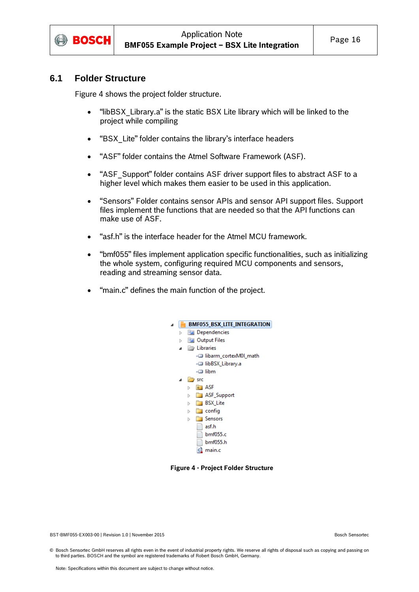

#### <span id="page-15-0"></span>**6.1 Folder Structure**

[Figure 4](#page-15-1) shows the project folder structure.

- "libBSX\_Library.a" is the static BSX Lite library which will be linked to the project while compiling
- "BSX\_Lite" folder contains the library's interface headers
- "ASF" folder contains the Atmel Software Framework (ASF).
- "ASF Support" folder contains ASF driver support files to abstract ASF to a higher level which makes them easier to be used in this application.
- "Sensors" Folder contains sensor APIs and sensor API support files. Support files implement the functions that are needed so that the API functions can make use of ASF.
- "asf.h" is the interface header for the Atmel MCU framework.
- "bmf055" files implement application specific functionalities, such as initializing the whole system, configuring required MCU components and sensors, reading and streaming sensor data.
- "main.c" defines the main function of the project.



**Figure 4 - Project Folder Structure**

<span id="page-15-1"></span><sup>©</sup> Bosch Sensortec GmbH reserves all rights even in the event of industrial property rights. We reserve all rights of disposal such as copying and passing on to third parties. BOSCH and the symbol are registered trademarks of Robert Bosch GmbH, Germany.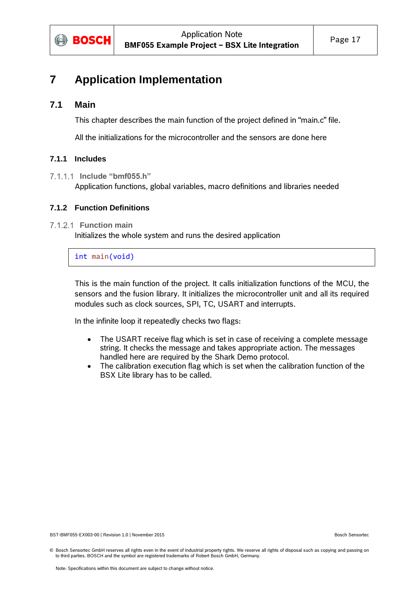

## <span id="page-16-0"></span>**7 Application Implementation**

#### <span id="page-16-1"></span>**7.1 Main**

This chapter describes the main function of the project defined in "main.c" file.

All the initializations for the microcontroller and the sensors are done here

#### <span id="page-16-2"></span>**7.1.1 Includes**

**Include "bmf055.h"**

Application functions, global variables, macro definitions and libraries needed

#### <span id="page-16-3"></span>**7.1.2 Function Definitions**

#### **Function main**

Initializes the whole system and runs the desired application

int main(void)

This is the main function of the project. It calls initialization functions of the MCU, the sensors and the fusion library. It initializes the microcontroller unit and all its required modules such as clock sources, SPI, TC, USART and interrupts.

In the infinite loop it repeatedly checks two flags:

- The USART receive flag which is set in case of receiving a complete message string. It checks the message and takes appropriate action. The messages handled here are required by the Shark Demo protocol.
- The calibration execution flag which is set when the calibration function of the BSX Lite library has to be called.

BST-BMF055-EX003-00 | Revision 1.0 | November 2015 Bosch Sensortec

<sup>©</sup> Bosch Sensortec GmbH reserves all rights even in the event of industrial property rights. We reserve all rights of disposal such as copying and passing on to third parties. BOSCH and the symbol are registered trademarks of Robert Bosch GmbH, Germany.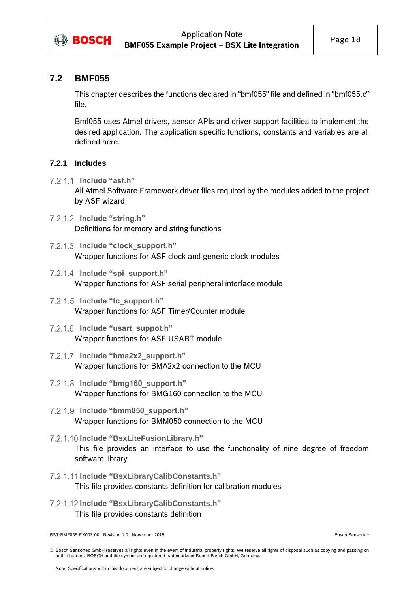

#### <span id="page-17-0"></span>**7.2 BMF055**

This chapter describes the functions declared in "bmf055" file and defined in "bmf055.c" file.

Bmf055 uses Atmel drivers, sensor APIs and driver support facilities to implement the desired application. The application specific functions, constants and variables are all defined here.

#### <span id="page-17-1"></span>**7.2.1 Includes**

- **Include "asf.h"** All Atmel Software Framework driver files required by the modules added to the project by ASF wizard
- **Include "string.h"** Definitions for memory and string functions
- **Include "clock\_support.h"** Wrapper functions for ASF clock and generic clock modules
- **Include "spi\_support.h"** Wrapper functions for ASF serial peripheral interface module
- **Include "tc\_support.h"** Wrapper functions for ASF Timer/Counter module
- **Include "usart\_suppot.h"** Wrapper functions for ASF USART module
- **Include "bma2x2\_support.h"** Wrapper functions for BMA2x2 connection to the MCU
- **Include "bmg160\_support.h"** Wrapper functions for BMG160 connection to the MCU
- **Include "bmm050\_support.h"** Wrapper functions for BMM050 connection to the MCU
- **Include "BsxLiteFusionLibrary.h"** This file provides an interface to use the functionality of nine degree of freedom software library
- **Include "BsxLibraryCalibConstants.h"** This file provides constants definition for calibration modules
- **Include "BsxLibraryCalibConstants.h"** This file provides constants definition

BST-BMF055-EX003-00 | Revision 1.0 | November 2015 Bosch Sensortec

<sup>©</sup> Bosch Sensortec GmbH reserves all rights even in the event of industrial property rights. We reserve all rights of disposal such as copying and passing on to third parties. BOSCH and the symbol are registered trademarks of Robert Bosch GmbH, Germany.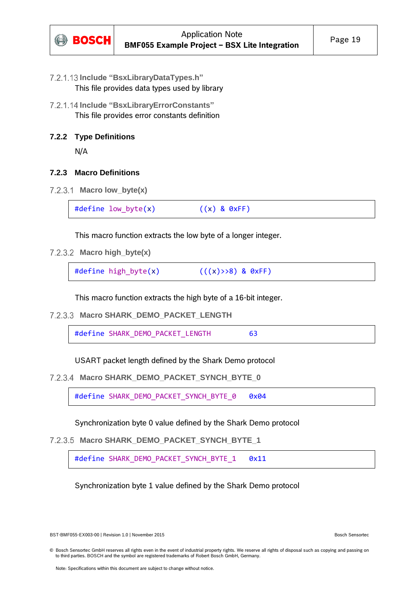

- **Include "BsxLibraryDataTypes.h"** This file provides data types used by library
- **Include "BsxLibraryErrorConstants"** This file provides error constants definition

#### <span id="page-18-0"></span>**7.2.2 Type Definitions**

N/A

#### <span id="page-18-1"></span>**7.2.3 Macro Definitions**

**Macro low\_byte(x)**

#define low\_byte(x) ((x) & 0xFF)

This macro function extracts the low byte of a longer integer.

**Macro high\_byte(x)**

| $\#$ define high_byte(x) | $((x)$ >>8) & 0xFF) |  |
|--------------------------|---------------------|--|
|--------------------------|---------------------|--|

This macro function extracts the high byte of a 16-bit integer.

```
Macro SHARK_DEMO_PACKET_LENGTH
```
#define SHARK DEMO PACKET LENGTH 63

USART packet length defined by the Shark Demo protocol

**Macro SHARK\_DEMO\_PACKET\_SYNCH\_BYTE\_0**

#define SHARK\_DEMO\_PACKET\_SYNCH\_BYTE\_0 0x04

Synchronization byte 0 value defined by the Shark Demo protocol

**Macro SHARK\_DEMO\_PACKET\_SYNCH\_BYTE\_1**

#define SHARK DEMO PACKET SYNCH BYTE 1 0x11

Synchronization byte 1 value defined by the Shark Demo protocol

<sup>©</sup> Bosch Sensortec GmbH reserves all rights even in the event of industrial property rights. We reserve all rights of disposal such as copying and passing on to third parties. BOSCH and the symbol are registered trademarks of Robert Bosch GmbH, Germany.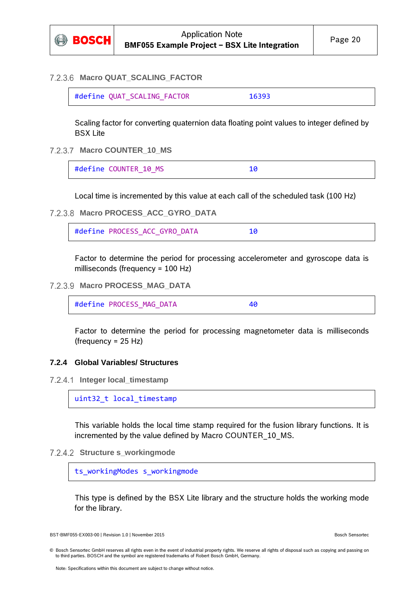

**Macro QUAT\_SCALING\_FACTOR**

#define QUAT SCALING FACTOR 16393

Scaling factor for converting quaternion data floating point values to integer defined by BSX Lite

<span id="page-19-1"></span>**Macro COUNTER\_10\_MS**

#define COUNTER 10 MS 10

Local time is incremented by this value at each call of the scheduled task (100 Hz)

**Macro PROCESS\_ACC\_GYRO\_DATA**

#define PROCESS ACC GYRO DATA 10

Factor to determine the period for processing accelerometer and gyroscope data is milliseconds (frequency = 100 Hz)

**Macro PROCESS\_MAG\_DATA**

#define PROCESS\_MAG\_DATA 40

Factor to determine the period for processing magnetometer data is milliseconds (frequency = 25 Hz)

#### <span id="page-19-0"></span>**7.2.4 Global Variables/ Structures**

**Integer local\_timestamp**

uint32\_t local\_timestamp

This variable holds the local time stamp required for the fusion library functions. It is incremented by the value defined by Macro [COUNTER\\_10\\_MS.](#page-19-1)

**Structure s\_workingmode**

ts\_workingModes s\_workingmode

This type is defined by the BSX Lite library and the structure holds the working mode for the library.

BST-BMF055-EX003-00 | Revision 1.0 | November 2015 Bosch Sensortec

<sup>©</sup> Bosch Sensortec GmbH reserves all rights even in the event of industrial property rights. We reserve all rights of disposal such as copying and passing on to third parties. BOSCH and the symbol are registered trademarks of Robert Bosch GmbH, Germany.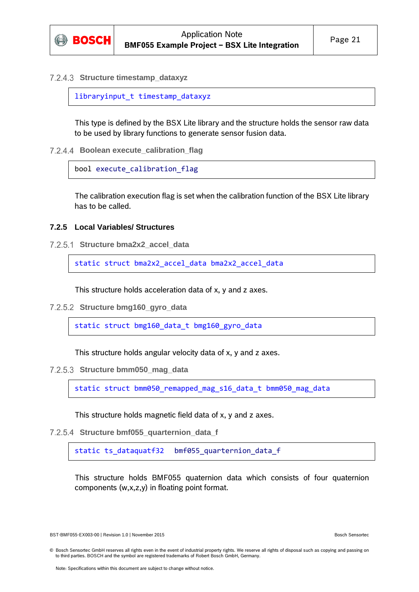

**Structure timestamp\_dataxyz**

libraryinput\_t timestamp\_dataxyz

This type is defined by the BSX Lite library and the structure holds the sensor raw data to be used by library functions to generate sensor fusion data.

**Boolean execute\_calibration\_flag**

```
bool execute calibration flag
```
The calibration execution flag is set when the calibration function of the BSX Lite library has to be called.

#### <span id="page-20-0"></span>**7.2.5 Local Variables/ Structures**

**Structure bma2x2\_accel\_data**

static struct bma2x2\_accel\_data bma2x2\_accel\_data

This structure holds acceleration data of x, y and z axes.

```
Structure bmg160_gyro_data
```
static struct bmg160\_data\_t bmg160\_gyro\_data

This structure holds angular velocity data of x, y and z axes.

```
Structure bmm050_mag_data
```
static struct bmm050 remapped mag\_s16 data\_t bmm050 mag\_data

This structure holds magnetic field data of x, y and z axes.

**Structure bmf055\_quarternion\_data\_f**

static ts dataquatf32 bmf055 quarternion data f

This structure holds BMF055 quaternion data which consists of four quaternion components (w,x,z,y) in floating point format.

BST-BMF055-EX003-00 | Revision 1.0 | November 2015 Bosch Sensortec

<sup>©</sup> Bosch Sensortec GmbH reserves all rights even in the event of industrial property rights. We reserve all rights of disposal such as copying and passing on to third parties. BOSCH and the symbol are registered trademarks of Robert Bosch GmbH, Germany.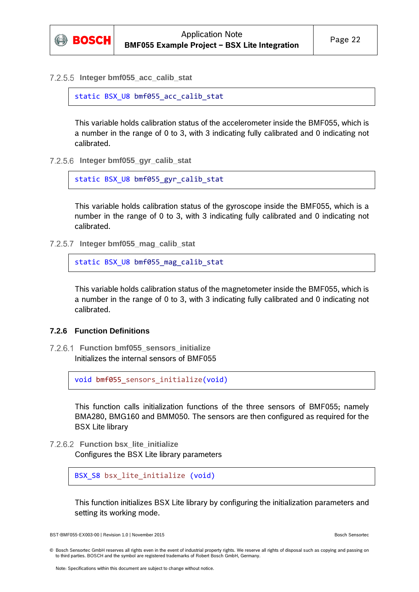

**Integer bmf055\_acc\_calib\_stat**

static BSX U8 bmf055 acc calib stat

This variable holds calibration status of the accelerometer inside the BMF055, which is a number in the range of 0 to 3, with 3 indicating fully calibrated and 0 indicating not calibrated.

**Integer bmf055\_gyr\_calib\_stat**

```
static BSX_U8 bmf055_gyr_calib_stat
```
This variable holds calibration status of the gyroscope inside the BMF055, which is a number in the range of 0 to 3, with 3 indicating fully calibrated and 0 indicating not calibrated.

7.2.5.7 Integer bmf055 mag calib stat

static BSX U8 bmf055 mag calib stat

This variable holds calibration status of the magnetometer inside the BMF055, which is a number in the range of 0 to 3, with 3 indicating fully calibrated and 0 indicating not calibrated.

#### <span id="page-21-0"></span>**7.2.6 Function Definitions**

**Function bmf055\_sensors\_initialize** Initializes the internal sensors of BMF055

void bmf055 sensors initialize(void)

This function calls initialization functions of the three sensors of BMF055; namely BMA280, BMG160 and BMM050. The sensors are then configured as required for the BSX Lite library

**Function bsx\_lite\_initialize** Configures the BSX Lite library parameters

BSX S8 bsx lite initialize (void)

This function initializes BSX Lite library by configuring the initialization parameters and setting its working mode.

```
BST-BMF055-EX003-00 | Revision 1.0 | November 2015 Bosch Sensortec
```
<sup>©</sup> Bosch Sensortec GmbH reserves all rights even in the event of industrial property rights. We reserve all rights of disposal such as copying and passing on to third parties. BOSCH and the symbol are registered trademarks of Robert Bosch GmbH, Germany.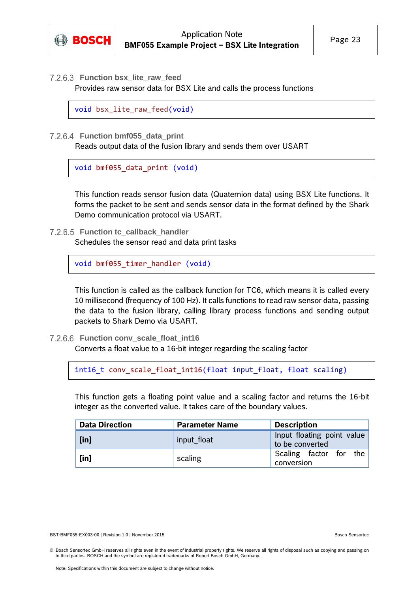

**Function bsx\_lite\_raw\_feed**

Provides raw sensor data for BSX Lite and calls the process functions

void bsx lite raw feed(void)

**Function bmf055\_data\_print**

Reads output data of the fusion library and sends them over USART

void bmf055\_data\_print (void)

This function reads sensor fusion data (Quaternion data) using BSX Lite functions. It forms the packet to be sent and sends sensor data in the format defined by the Shark Demo communication protocol via USART.

**Function tc\_callback\_handler**

Schedules the sensor read and data print tasks

void bmf055 timer handler (void)

This function is called as the callback function for TC6, which means it is called every 10 millisecond (frequency of 100 Hz). It calls functions to read raw sensor data, passing the data to the fusion library, calling library process functions and sending output packets to Shark Demo via USART.

**Function conv\_scale\_float\_int16**

Converts a float value to a 16-bit integer regarding the scaling factor

```
int16_t conv_scale_float_int16(float input_float, float scaling)
```
This function gets a floating point value and a scaling factor and returns the 16-bit integer as the converted value. It takes care of the boundary values.

| <b>Data Direction</b> | <b>Parameter Name</b> | <b>Description</b>                            |
|-----------------------|-----------------------|-----------------------------------------------|
| $[$ in]               | input float           | Input floating point value<br>to be converted |
| $[$ in]               | scaling               | Scaling factor for the<br>conversion          |

<sup>©</sup> Bosch Sensortec GmbH reserves all rights even in the event of industrial property rights. We reserve all rights of disposal such as copying and passing on to third parties. BOSCH and the symbol are registered trademarks of Robert Bosch GmbH, Germany.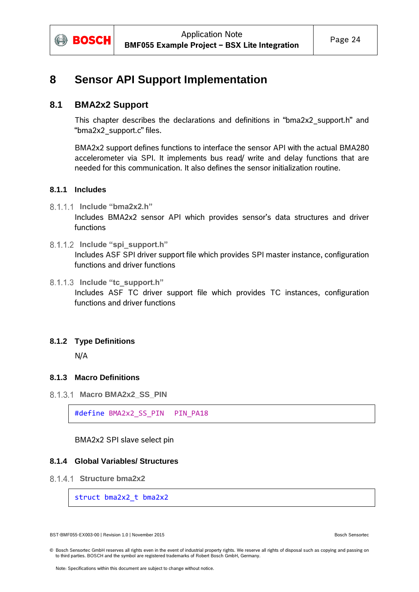

### <span id="page-23-0"></span>**8 Sensor API Support Implementation**

#### <span id="page-23-1"></span>**8.1 BMA2x2 Support**

This chapter describes the declarations and definitions in "bma2x2\_support.h" and "bma2x2\_support.c" files.

BMA2x2 support defines functions to interface the sensor API with the actual BMA280 accelerometer via SPI. It implements bus read/ write and delay functions that are needed for this communication. It also defines the sensor initialization routine.

#### <span id="page-23-2"></span>**8.1.1 Includes**

- **Include "bma2x2.h"** Includes BMA2x2 sensor API which provides sensor's data structures and driver functions
- **Include "spi\_support.h"** Includes ASF SPI driver support file which provides SPI master instance, configuration functions and driver functions
- 8.1.1.3 Include "tc\_support.h" Includes ASF TC driver support file which provides TC instances, configuration functions and driver functions

#### <span id="page-23-3"></span>**8.1.2 Type Definitions**

N/A

#### <span id="page-23-4"></span>**8.1.3 Macro Definitions**

**Macro BMA2x2\_SS\_PIN**

```
#define BMA2x2_SS_PIN PIN_PA18
```
BMA2x2 SPI slave select pin

#### <span id="page-23-5"></span>**8.1.4 Global Variables/ Structures**

**Structure bma2x2**

struct bma2x2\_t bma2x2

BST-BMF055-EX003-00 | Revision 1.0 | November 2015 Bosch Sensortec

<sup>©</sup> Bosch Sensortec GmbH reserves all rights even in the event of industrial property rights. We reserve all rights of disposal such as copying and passing on to third parties. BOSCH and the symbol are registered trademarks of Robert Bosch GmbH, Germany.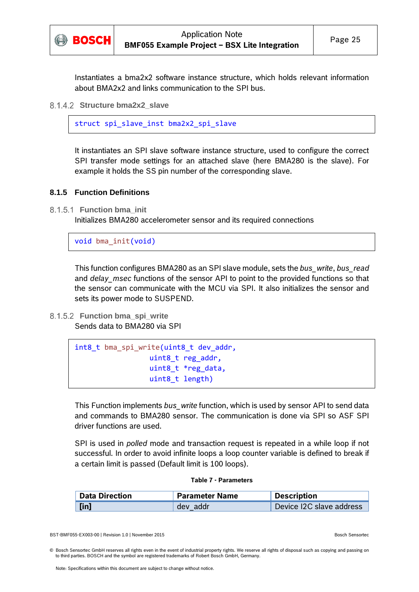

Instantiates a bma2x2 software instance structure, which holds relevant information about BMA2x2 and links communication to the SPI bus.

```
Structure bma2x2_slave
```
struct spi\_slave\_inst bma2x2\_spi\_slave

It instantiates an SPI slave software instance structure, used to configure the correct SPI transfer mode settings for an attached slave (here BMA280 is the slave). For example it holds the SS pin number of the corresponding slave.

#### <span id="page-24-0"></span>**8.1.5 Function Definitions**

**Function bma\_init**

Initializes BMA280 accelerometer sensor and its required connections

void bma\_init(void)

This function configures BMA280 as an SPI slave module, sets the *bus\_write*, *bus\_read* and *delay\_msec* functions of the sensor API to point to the provided functions so that the sensor can communicate with the MCU via SPI. It also initializes the sensor and sets its power mode to SUSPEND.

8.1.5.2 Function bma spi write

Sends data to BMA280 via SPI

```
int8_t bma_spi_write(uint8_t dev_addr,
     uint8 t reg addr,
      uint8_t *reg_data,
      uint8_t length)
```
This Function implements *bus\_write* function, which is used by sensor API to send data and commands to BMA280 sensor. The communication is done via SPI so ASF SPI driver functions are used.

SPI is used in *polled* mode and transaction request is repeated in a while loop if not successful. In order to avoid infinite loops a loop counter variable is defined to break if a certain limit is passed (Default limit is 100 loops).

#### **Table 7 - Parameters**

| <b>Data Direction</b> | <b>Parameter Name</b> | <b>Description</b>       |
|-----------------------|-----------------------|--------------------------|
| $[$ in]               | dev addr              | Device I2C slave address |

<sup>©</sup> Bosch Sensortec GmbH reserves all rights even in the event of industrial property rights. We reserve all rights of disposal such as copying and passing on to third parties. BOSCH and the symbol are registered trademarks of Robert Bosch GmbH, Germany.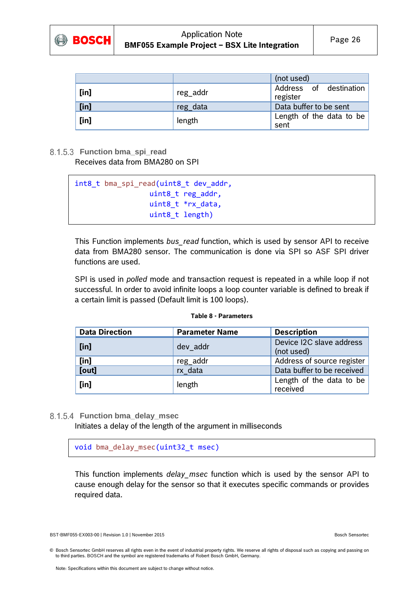

|         |          | (not used)                         |
|---------|----------|------------------------------------|
| $[$ in] | reg_addr | Address of destination<br>register |
| $[$ in] | reg data | Data buffer to be sent             |
| $[$ in] | length   | Length of the data to be<br>sent   |

### **Function bma\_spi\_read**

Receives data from BMA280 on SPI

| int8 t bma spi read(uint8 t dev addr, |  |
|---------------------------------------|--|
| uint8 t reg addr,                     |  |
| uint8 $t$ *rx data,                   |  |
| uint8 t length)                       |  |

This Function implements *bus\_read* function, which is used by sensor API to receive data from BMA280 sensor. The communication is done via SPI so ASF SPI driver functions are used.

SPI is used in *polled* mode and transaction request is repeated in a while loop if not successful. In order to avoid infinite loops a loop counter variable is defined to break if a certain limit is passed (Default limit is 100 loops).

#### **Table 8 - Parameters**

| <b>Data Direction</b> | <b>Parameter Name</b> | <b>Description</b>                     |
|-----------------------|-----------------------|----------------------------------------|
| $[$ in]               | dev addr              | Device I2C slave address<br>(not used) |
| $[$ in]               | reg_addr              | Address of source register             |
| [out]                 | rx data               | Data buffer to be received             |
| $[$ in]               | length                | Length of the data to be<br>received   |

#### **Function bma\_delay\_msec**

Initiates a delay of the length of the argument in milliseconds

```
void bma_delay_msec(uint32_t msec)
```
This function implements *delay\_msec* function which is used by the sensor API to cause enough delay for the sensor so that it executes specific commands or provides required data.

<sup>©</sup> Bosch Sensortec GmbH reserves all rights even in the event of industrial property rights. We reserve all rights of disposal such as copying and passing on to third parties. BOSCH and the symbol are registered trademarks of Robert Bosch GmbH, Germany.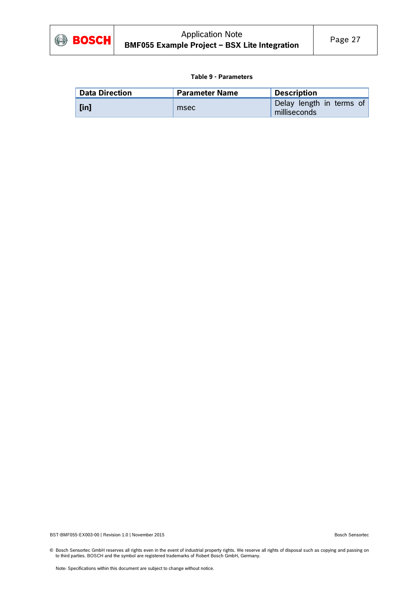

#### **Table 9 - Parameters**

| <b>Data Direction</b> | <b>Parameter Name</b> | <b>Description</b>                       |
|-----------------------|-----------------------|------------------------------------------|
| $[$ in]               | msec                  | Delay length in terms of<br>milliseconds |

BST-BMF055-EX003-00 | Revision 1.0 | November 2015 | November 2015 | November 2015 | November 2015 | Bosch Sensortec

© Bosch Sensortec GmbH reserves all rights even in the event of industrial property rights. We reserve all rights of disposal such as copying and passing on to third parties. BOSCH and the symbol are registered trademarks of Robert Bosch GmbH, Germany.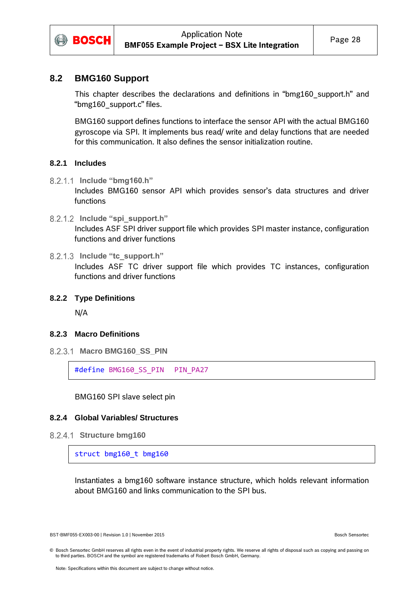

#### <span id="page-27-0"></span>**8.2 BMG160 Support**

This chapter describes the declarations and definitions in "bmg160\_support.h" and "bmg160\_support.c" files.

BMG160 support defines functions to interface the sensor API with the actual BMG160 gyroscope via SPI. It implements bus read/ write and delay functions that are needed for this communication. It also defines the sensor initialization routine.

#### <span id="page-27-1"></span>**8.2.1 Includes**

- **Include "bmg160.h"** Includes BMG160 sensor API which provides sensor's data structures and driver functions
- **Include "spi\_support.h"** Includes ASF SPI driver support file which provides SPI master instance, configuration functions and driver functions
- **Include "tc\_support.h"**

Includes ASF TC driver support file which provides TC instances, configuration functions and driver functions

#### <span id="page-27-2"></span>**8.2.2 Type Definitions**

N/A

#### <span id="page-27-3"></span>**8.2.3 Macro Definitions**

8.2.3.1 Macro BMG160 SS PIN

#define BMG160 SS PIN PIN PA27

BMG160 SPI slave select pin

#### <span id="page-27-4"></span>**8.2.4 Global Variables/ Structures**

**Structure bmg160**

struct bmg160\_t bmg160

Instantiates a bmg160 software instance structure, which holds relevant information about BMG160 and links communication to the SPI bus.

BST-BMF055-EX003-00 | Revision 1.0 | November 2015 Bosch Sensortec

<sup>©</sup> Bosch Sensortec GmbH reserves all rights even in the event of industrial property rights. We reserve all rights of disposal such as copying and passing on to third parties. BOSCH and the symbol are registered trademarks of Robert Bosch GmbH, Germany.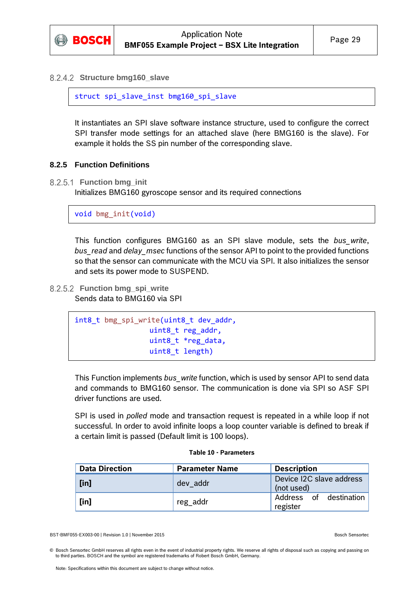

**Structure bmg160\_slave**

```
struct spi_slave_inst bmg160_spi_slave
```
It instantiates an SPI slave software instance structure, used to configure the correct SPI transfer mode settings for an attached slave (here BMG160 is the slave). For example it holds the SS pin number of the corresponding slave.

#### <span id="page-28-0"></span>**8.2.5 Function Definitions**

8.2.5.1 Function bmg init

Initializes BMG160 gyroscope sensor and its required connections

```
void bmg_init(void)
```
This function configures BMG160 as an SPI slave module, sets the *bus\_write*, *bus\_read* and *delay\_msec* functions of the sensor API to point to the provided functions so that the sensor can communicate with the MCU via SPI. It also initializes the sensor and sets its power mode to SUSPEND.

#### **Function bmg\_spi\_write**

Sends data to BMG160 via SPI



This Function implements *bus\_write* function, which is used by sensor API to send data and commands to BMG160 sensor. The communication is done via SPI so ASF SPI driver functions are used.

SPI is used in *polled* mode and transaction request is repeated in a while loop if not successful. In order to avoid infinite loops a loop counter variable is defined to break if a certain limit is passed (Default limit is 100 loops).

#### **Table 10 - Parameters**

| <b>Data Direction</b> | <b>Parameter Name</b> | <b>Description</b>                     |
|-----------------------|-----------------------|----------------------------------------|
| $[$ in]               | dev addr              | Device I2C slave address<br>(not used) |
| $[$ in]               | reg_addr              | Address of destination<br>register     |

<sup>©</sup> Bosch Sensortec GmbH reserves all rights even in the event of industrial property rights. We reserve all rights of disposal such as copying and passing on to third parties. BOSCH and the symbol are registered trademarks of Robert Bosch GmbH, Germany.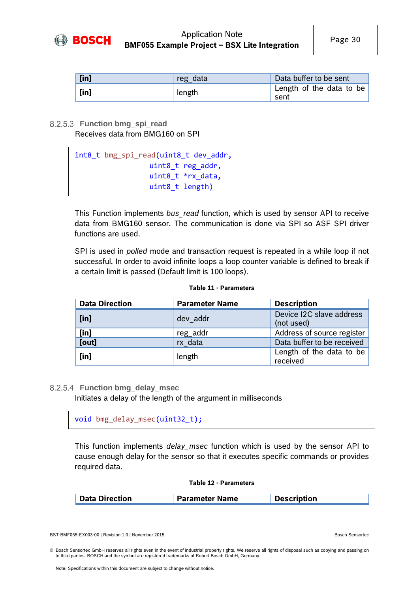

| [in]    | reg_data | Data buffer to be sent           |
|---------|----------|----------------------------------|
| $[$ in] | length   | Length of the data to be<br>sent |

#### **Function bmg\_spi\_read**

Receives data from BMG160 on SPI

```
int8 t bmg spi read(uint8 t dev addr,
     uint8 t reg addr,
     uint8 t *rx data,
     uint8_t length)
```
This Function implements *bus\_read* function, which is used by sensor API to receive data from BMG160 sensor. The communication is done via SPI so ASF SPI driver functions are used.

SPI is used in *polled* mode and transaction request is repeated in a while loop if not successful. In order to avoid infinite loops a loop counter variable is defined to break if a certain limit is passed (Default limit is 100 loops).

#### **Table 11 - Parameters**

| <b>Data Direction</b> | <b>Parameter Name</b> | <b>Description</b>                     |
|-----------------------|-----------------------|----------------------------------------|
| $[$ in]               | dev addr              | Device I2C slave address<br>(not used) |
| $[$ in]               | reg addr              | Address of source register             |
| [out]                 | rx data               | Data buffer to be received             |
| $[$ in]               | length                | Length of the data to be<br>received   |

#### **Function bmg\_delay\_msec**

Initiates a delay of the length of the argument in milliseconds

void bmg delay msec(uint32 t);

This function implements *delay\_msec* function which is used by the sensor API to cause enough delay for the sensor so that it executes specific commands or provides required data.

#### **Table 12 - Parameters**

| <b>Data Direction</b> | <b>Parameter Name</b> | <b>Description</b> |
|-----------------------|-----------------------|--------------------|
|                       |                       |                    |

<sup>©</sup> Bosch Sensortec GmbH reserves all rights even in the event of industrial property rights. We reserve all rights of disposal such as copying and passing on to third parties. BOSCH and the symbol are registered trademarks of Robert Bosch GmbH, Germany.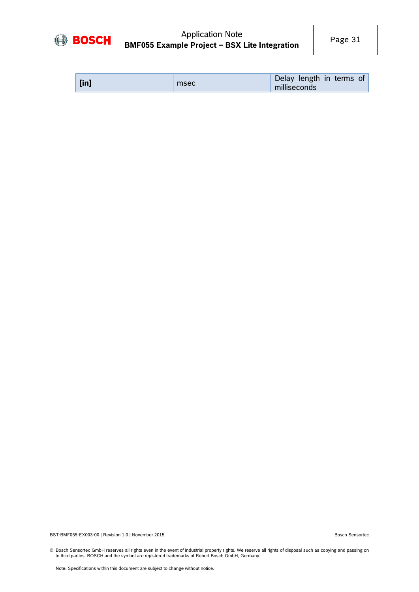

BST-BMF055-EX003-00 | Revision 1.0 | November 2015 | November 2015 | November 2015 | November 2015 | Bosch Sensortec

© Bosch Sensortec GmbH reserves all rights even in the event of industrial property rights. We reserve all rights of disposal such as copying and passing on to third parties. BOSCH and the symbol are registered trademarks of Robert Bosch GmbH, Germany.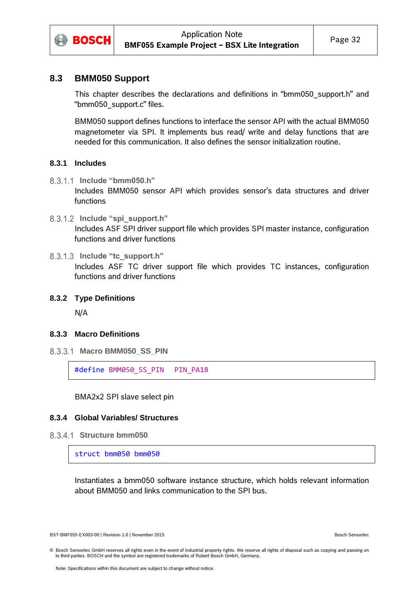

#### <span id="page-31-0"></span>**8.3 BMM050 Support**

This chapter describes the declarations and definitions in "bmm050\_support.h" and "bmm050\_support.c" files.

BMM050 support defines functions to interface the sensor API with the actual BMM050 magnetometer via SPI. It implements bus read/ write and delay functions that are needed for this communication. It also defines the sensor initialization routine.

#### <span id="page-31-1"></span>**8.3.1 Includes**

- **Include "bmm050.h"** Includes BMM050 sensor API which provides sensor's data structures and driver functions
- **Include "spi\_support.h"** Includes ASF SPI driver support file which provides SPI master instance, configuration functions and driver functions
- **Include "tc\_support.h"**

Includes ASF TC driver support file which provides TC instances, configuration functions and driver functions

#### <span id="page-31-2"></span>**8.3.2 Type Definitions**

N/A

#### <span id="page-31-3"></span>**8.3.3 Macro Definitions**

8.3.3.1 Macro BMM050 SS PIN

#define BMM050 SS PIN PIN PA18

BMA2x2 SPI slave select pin

#### <span id="page-31-4"></span>**8.3.4 Global Variables/ Structures**

**Structure bmm050**

struct bmm050 bmm050

Instantiates a bmm050 software instance structure, which holds relevant information about BMM050 and links communication to the SPI bus.

BST-BMF055-EX003-00 | Revision 1.0 | November 2015 Bosch Sensortec

<sup>©</sup> Bosch Sensortec GmbH reserves all rights even in the event of industrial property rights. We reserve all rights of disposal such as copying and passing on to third parties. BOSCH and the symbol are registered trademarks of Robert Bosch GmbH, Germany.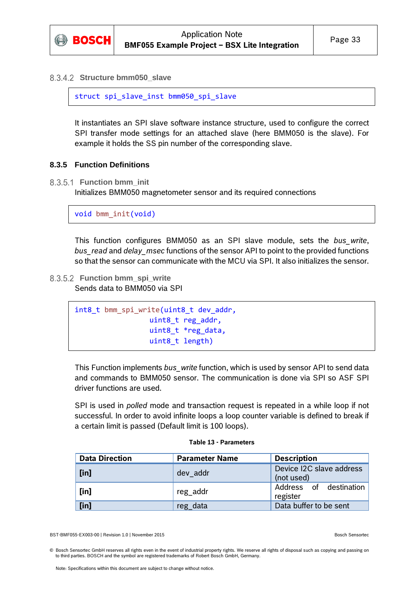

**Structure bmm050\_slave**

```
struct spi_slave_inst bmm050_spi_slave
```
It instantiates an SPI slave software instance structure, used to configure the correct SPI transfer mode settings for an attached slave (here BMM050 is the slave). For example it holds the SS pin number of the corresponding slave.

#### <span id="page-32-0"></span>**8.3.5 Function Definitions**

8.3.5.1 Function bmm\_init

Initializes BMM050 magnetometer sensor and its required connections

void bmm\_init(void)

This function configures BMM050 as an SPI slave module, sets the *bus\_write*, *bus\_read* and *delay\_msec* functions of the sensor API to point to the provided functions so that the sensor can communicate with the MCU via SPI. It also initializes the sensor.

8.3.5.2 Function bmm spi write

Sends data to BMM050 via SPI

```
int8 t bmm spi write(uint8 t dev addr,
      uint8 t reg addr,
      uint8 t *reg data,
      uint8_t length)
```
This Function implements *bus\_write* function, which is used by sensor API to send data and commands to BMM050 sensor. The communication is done via SPI so ASF SPI driver functions are used.

SPI is used in *polled* mode and transaction request is repeated in a while loop if not successful. In order to avoid infinite loops a loop counter variable is defined to break if a certain limit is passed (Default limit is 100 loops).

| <b>Data Direction</b> | <b>Parameter Name</b> | <b>Description</b>                     |
|-----------------------|-----------------------|----------------------------------------|
| $[$ in]               | dev addr              | Device I2C slave address<br>(not used) |
| $[$ in]               | reg_addr              | Address of destination<br>register     |
| $[$ in]               | reg data              | Data buffer to be sent                 |

#### **Table 13 - Parameters**

<sup>©</sup> Bosch Sensortec GmbH reserves all rights even in the event of industrial property rights. We reserve all rights of disposal such as copying and passing on to third parties. BOSCH and the symbol are registered trademarks of Robert Bosch GmbH, Germany.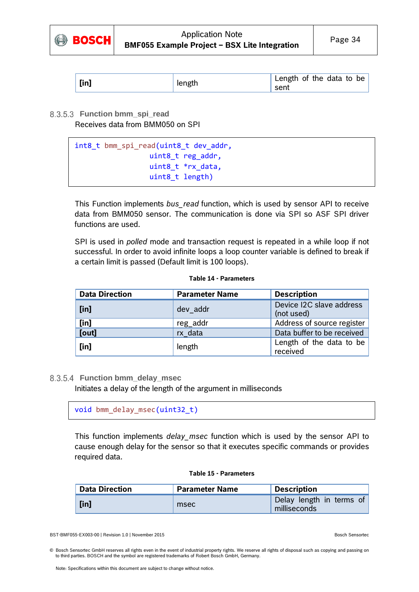

| $[$ in] | Length of the data to be |
|---------|--------------------------|
| length  | sent                     |

#### **Function bmm\_spi\_read** Receives data from BMM050 on SPI

```
int8_t bmm_spi_read(uint8_t dev_addr,
      uint8_t reg_addr,
      uint8_t *rx_data,
      uint8_t length)
```
This Function implements *bus\_read* function, which is used by sensor API to receive data from BMM050 sensor. The communication is done via SPI so ASF SPI driver functions are used.

SPI is used in *polled* mode and transaction request is repeated in a while loop if not successful. In order to avoid infinite loops a loop counter variable is defined to break if a certain limit is passed (Default limit is 100 loops).

| <b>Data Direction</b> | <b>Parameter Name</b> | <b>Description</b>                     |
|-----------------------|-----------------------|----------------------------------------|
| $[$ in]               | dev addr              | Device I2C slave address<br>(not used) |
| $[$ in]               | reg_addr              | Address of source register             |
| [out]                 | rx data               | Data buffer to be received             |
| $[$ in]               | length                | Length of the data to be<br>received   |

#### **Table 14 - Parameters**

#### **Function bmm\_delay\_msec**

Initiates a delay of the length of the argument in milliseconds

```
void bmm_delay_msec(uint32_t)
```
This function implements *delay\_msec* function which is used by the sensor API to cause enough delay for the sensor so that it executes specific commands or provides required data.

#### **Table 15 - Parameters**

| <b>Data Direction</b> | <b>Parameter Name</b> | <b>Description</b>                       |
|-----------------------|-----------------------|------------------------------------------|
| $[$ in]               | msec                  | Delay length in terms of<br>milliseconds |

<sup>©</sup> Bosch Sensortec GmbH reserves all rights even in the event of industrial property rights. We reserve all rights of disposal such as copying and passing on to third parties. BOSCH and the symbol are registered trademarks of Robert Bosch GmbH, Germany.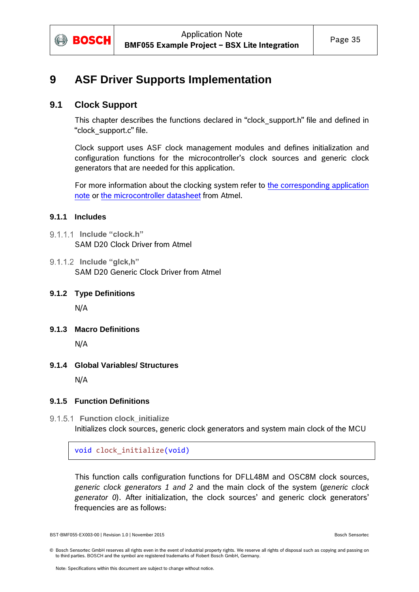

### <span id="page-34-0"></span>**9 ASF Driver Supports Implementation**

#### <span id="page-34-1"></span>**9.1 Clock Support**

This chapter describes the functions declared in "clock support.h" file and defined in "clock\_support.c" file.

Clock support uses ASF clock management modules and defines initialization and configuration functions for the microcontroller's clock sources and generic clock generators that are needed for this application.

For more information about the clocking system refer to [the corresponding application](http://www.atmel.com/Images/Atmel-42123-SAM-D20-D21-Timer-Counter-Driver-TC_Application-Note_AT03263.pdf)  [note](http://www.atmel.com/Images/Atmel-42123-SAM-D20-D21-Timer-Counter-Driver-TC_Application-Note_AT03263.pdf) or [the microcontroller datasheet](http://www.atmel.com/Images/atmel-42129-sam-d20_datasheet.pdf) from Atmel.

#### <span id="page-34-2"></span>**9.1.1 Includes**

- **Include "clock.h"** SAM D20 Clock Driver from Atmel
- **Include "glck,h"** SAM D20 Generic Clock Driver from Atmel

#### <span id="page-34-3"></span>**9.1.2 Type Definitions**

N/A

<span id="page-34-4"></span>**9.1.3 Macro Definitions**

N/A

#### <span id="page-34-5"></span>**9.1.4 Global Variables/ Structures**

N/A

#### <span id="page-34-6"></span>**9.1.5 Function Definitions**

9.1.5.1 Function clock initialize

Initializes clock sources, generic clock generators and system main clock of the MCU

void clock\_initialize(void)

This function calls configuration functions for DFLL48M and OSC8M clock sources, *generic clock generators 1 and 2* and the main clock of the system (*generic clock generator 0*). After initialization, the clock sources' and generic clock generators' frequencies are as follows:

<sup>©</sup> Bosch Sensortec GmbH reserves all rights even in the event of industrial property rights. We reserve all rights of disposal such as copying and passing on to third parties. BOSCH and the symbol are registered trademarks of Robert Bosch GmbH, Germany.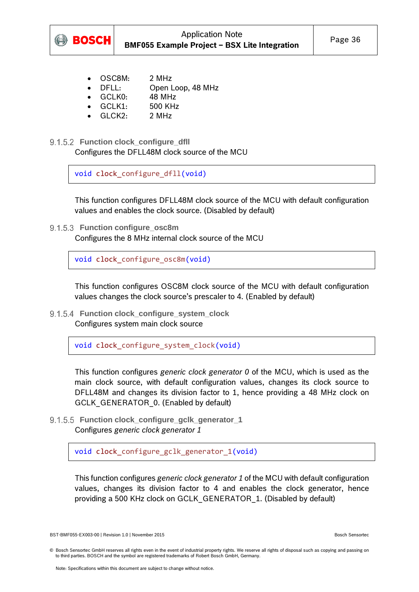

- OSC8M: 2 MHz
- DFLL: Open Loop, 48 MHz
- GCLK0: 48 MHz
- GCLK1: 500 KHz
- GLCK2: 2 MHz
- **Function clock\_configure\_dfll** Configures the DFLL48M clock source of the MCU

void clock\_configure\_dfll(void)

This function configures DFLL48M clock source of the MCU with default configuration values and enables the clock source. (Disabled by default)

9.1.5.3 Function configure osc8m

Configures the 8 MHz internal clock source of the MCU

void clock configure osc8m(void)

This function configures OSC8M clock source of the MCU with default configuration values changes the clock source's prescaler to 4. (Enabled by default)

**Function clock\_configure\_system\_clock** Configures system main clock source

void clock\_configure\_system\_clock(void)

This function configures *generic clock generator 0* of the MCU, which is used as the main clock source, with default configuration values, changes its clock source to DFLL48M and changes its division factor to 1, hence providing a 48 MHz clock on GCLK\_GENERATOR\_0. (Enabled by default)

9.1.5.5 Function clock configure gclk generator 1 Configures *generic clock generator 1*

void clock configure gclk generator 1(void)

This function configures *generic clock generator 1* of the MCU with default configuration values, changes its division factor to 4 and enables the clock generator, hence providing a 500 KHz clock on GCLK\_GENERATOR\_1. (Disabled by default)

<sup>©</sup> Bosch Sensortec GmbH reserves all rights even in the event of industrial property rights. We reserve all rights of disposal such as copying and passing on to third parties. BOSCH and the symbol are registered trademarks of Robert Bosch GmbH, Germany.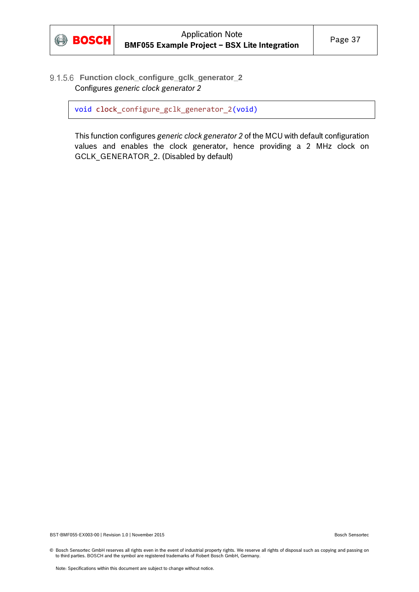

#### **Function clock\_configure\_gclk\_generator\_2** Configures *generic clock generator 2*

void clock\_configure\_gclk\_generator\_2(void)

This function configures *generic clock generator 2* of the MCU with default configuration values and enables the clock generator, hence providing a 2 MHz clock on GCLK\_GENERATOR\_2. (Disabled by default)

BST-BMF055-EX003-00 | Revision 1.0 | November 2015 | November 2015 | November 2015 | November 2015 | Bosch Sensortec

© Bosch Sensortec GmbH reserves all rights even in the event of industrial property rights. We reserve all rights of disposal such as copying and passing on to third parties. BOSCH and the symbol are registered trademarks of Robert Bosch GmbH, Germany.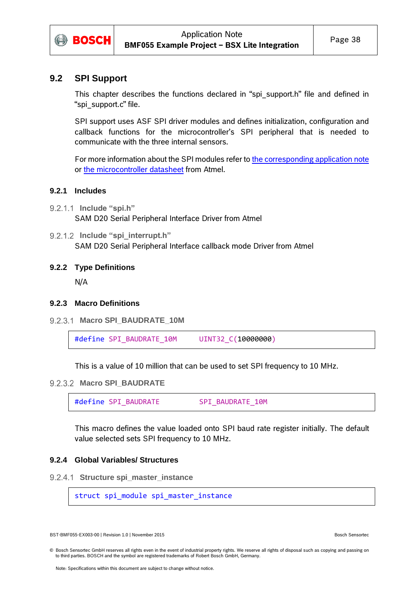

#### <span id="page-37-0"></span>**9.2 SPI Support**

This chapter describes the functions declared in "spi\_support.h" file and defined in "spi\_support.c" file.

SPI support uses ASF SPI driver modules and defines initialization, configuration and callback functions for the microcontroller's SPI peripheral that is needed to communicate with the three internal sensors.

For more information about the SPI modules refer to [the corresponding application note](http://www.atmel.com/Images/Atmel-42115-SAM-D20-D21-Serial-Peripheral-Interface-Driver-SERCOM-SPI_Application-Note_AT03255.pdf) or [the microcontroller datasheet](http://www.atmel.com/Images/atmel-42129-sam-d20_datasheet.pdf) from Atmel.

#### <span id="page-37-1"></span>**9.2.1 Includes**

- **Include "spi.h"** SAM D20 Serial Peripheral Interface Driver from Atmel
- 9.2.1.2 Include "spi\_interrupt.h" SAM D20 Serial Peripheral Interface callback mode Driver from Atmel

#### <span id="page-37-2"></span>**9.2.2 Type Definitions**

N/A

#### <span id="page-37-3"></span>**9.2.3 Macro Definitions**

9.2.3.1 Macro SPI\_BAUDRATE\_10M

#define SPI\_BAUDRATE\_10M UINT32\_C(10000000)

This is a value of 10 million that can be used to set SPI frequency to 10 MHz.

```
9.2.3.2 Macro SPI_BAUDRATE
```
#define SPI\_BAUDRATE SPI\_BAUDRATE\_10M

This macro defines the value loaded onto SPI baud rate register initially. The default value selected sets SPI frequency to 10 MHz.

#### <span id="page-37-4"></span>**9.2.4 Global Variables/ Structures**

**Structure spi\_master\_instance**

struct spi\_module spi\_master\_instance

BST-BMF055-EX003-00 | Revision 1.0 | November 2015 Bosch Sensortec

<sup>©</sup> Bosch Sensortec GmbH reserves all rights even in the event of industrial property rights. We reserve all rights of disposal such as copying and passing on to third parties. BOSCH and the symbol are registered trademarks of Robert Bosch GmbH, Germany.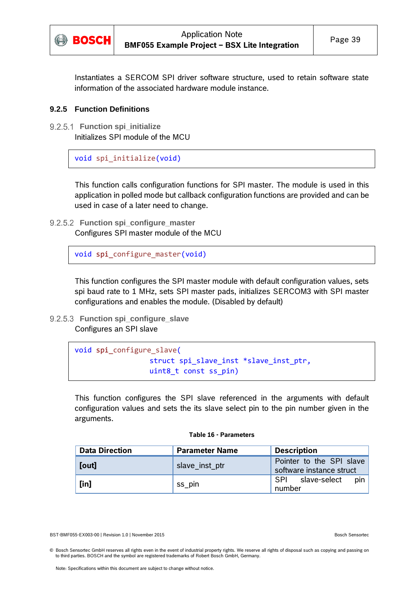

Instantiates a SERCOM SPI driver software structure, used to retain software state information of the associated hardware module instance.

#### <span id="page-38-0"></span>**9.2.5 Function Definitions**

**Function spi\_initialize**

Initializes SPI module of the MCU

```
void spi initialize(void)
```
This function calls configuration functions for SPI master. The module is used in this application in polled mode but callback configuration functions are provided and can be used in case of a later need to change.

**Function spi\_configure\_master**

Configures SPI master module of the MCU

void spi configure master(void)

This function configures the SPI master module with default configuration values, sets spi baud rate to 1 MHz, sets SPI master pads, initializes SERCOM3 with SPI master configurations and enables the module. (Disabled by default)

**Function spi\_configure\_slave**

Configures an SPI slave

```
void spi configure slave(
      struct spi_slave_inst *slave_inst_ptr,
      uint8_t const ss_pin)
```
This function configures the SPI slave referenced in the arguments with default configuration values and sets the its slave select pin to the pin number given in the arguments.

| <b>Table 16 - Parameters</b> |  |  |  |  |
|------------------------------|--|--|--|--|
|------------------------------|--|--|--|--|

| <b>Data Direction</b> | <b>Parameter Name</b> | <b>Description</b>                                   |
|-----------------------|-----------------------|------------------------------------------------------|
| [out]                 | slave inst ptr        | Pointer to the SPI slave<br>software instance struct |
| $[$ in]               | ss pin                | pin l<br>slave-select<br>-SPI<br>number              |

BST-BMF055-EX003-00 | Revision 1.0 | November 2015 Bosch Sensortec

<sup>©</sup> Bosch Sensortec GmbH reserves all rights even in the event of industrial property rights. We reserve all rights of disposal such as copying and passing on to third parties. BOSCH and the symbol are registered trademarks of Robert Bosch GmbH, Germany.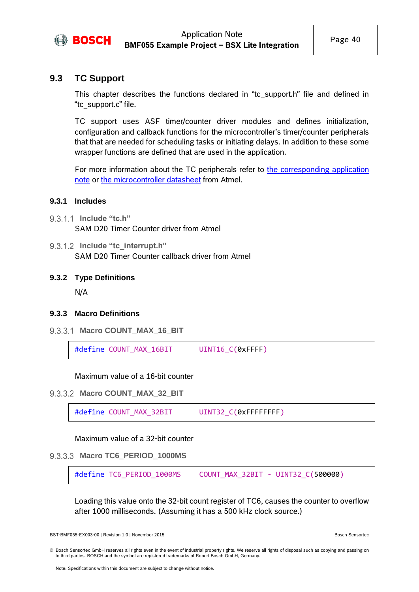

#### <span id="page-39-0"></span>**9.3 TC Support**

This chapter describes the functions declared in "tc\_support.h" file and defined in "tc\_support.c" file.

TC support uses ASF timer/counter driver modules and defines initialization, configuration and callback functions for the microcontroller's timer/counter peripherals that that are needed for scheduling tasks or initiating delays. In addition to these some wrapper functions are defined that are used in the application.

For more information about the TC peripherals refer to [the corresponding application](http://www.atmel.com/Images/Atmel-42256-SAM-D21-Timer-Counter-for-Control-Applications-Driver-TCC_AP-Note_AT07058.pdf)  [note](http://www.atmel.com/Images/Atmel-42256-SAM-D21-Timer-Counter-for-Control-Applications-Driver-TCC_AP-Note_AT07058.pdf) or [the microcontroller datasheet](http://www.atmel.com/Images/atmel-42129-sam-d20_datasheet.pdf) from Atmel.

#### <span id="page-39-1"></span>**9.3.1 Includes**

- **Include "tc.h"** SAM D20 Timer Counter driver from Atmel
- 9.3.1.2 Include "tc\_interrupt.h" SAM D20 Timer Counter callback driver from Atmel

#### <span id="page-39-2"></span>**9.3.2 Type Definitions**

N/A

#### <span id="page-39-3"></span>**9.3.3 Macro Definitions**

**Macro COUNT\_MAX\_16\_BIT**

#define COUNT\_MAX\_16BIT UINT16\_C(0xFFFF)

Maximum value of a 16-bit counter

9.3.3.2 Macro COUNT MAX 32 BIT

#define COUNT MAX 32BIT UINT32 C(0xFFFFFFFFF)

Maximum value of a 32-bit counter

#### **Macro TC6\_PERIOD\_1000MS**

#define TC6 PERIOD 1000MS COUNT MAX 32BIT - UINT32 C(500000)

Loading this value onto the 32-bit count register of TC6, causes the counter to overflow after 1000 milliseconds. (Assuming it has a 500 kHz clock source.)

BST-BMF055-EX003-00 | Revision 1.0 | November 2015 Bosch Sensortec

<sup>©</sup> Bosch Sensortec GmbH reserves all rights even in the event of industrial property rights. We reserve all rights of disposal such as copying and passing on to third parties. BOSCH and the symbol are registered trademarks of Robert Bosch GmbH, Germany.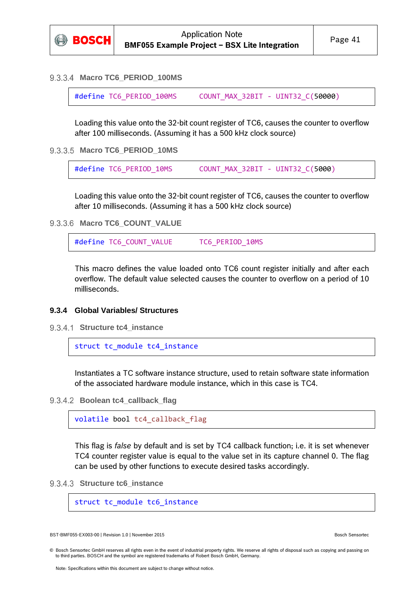

9.3.3.4 Macro TC6 PERIOD 100MS

#define TC6 PERIOD 100MS COUNT MAX 32BIT - UINT32 C(50000)

Loading this value onto the 32-bit count register of TC6, causes the counter to overflow after 100 milliseconds. (Assuming it has a 500 kHz clock source)

9.3.3.5 Macro TC6 PERIOD 10MS

#define TC6\_PERIOD\_10MS COUNT\_MAX\_32BIT - UINT32\_C(5000)

Loading this value onto the 32-bit count register of TC6, causes the counter to overflow after 10 milliseconds. (Assuming it has a 500 kHz clock source)

9.3.3.6 Macro TC6 COUNT VALUE

#define TC6\_COUNT\_VALUE TC6\_PERIOD\_10MS

This macro defines the value loaded onto TC6 count register initially and after each overflow. The default value selected causes the counter to overflow on a period of 10 milliseconds.

#### <span id="page-40-0"></span>**9.3.4 Global Variables/ Structures**

**Structure tc4\_instance**

```
struct tc_module tc4_instance
```
Instantiates a TC software instance structure, used to retain software state information of the associated hardware module instance, which in this case is TC4.

**Boolean tc4\_callback\_flag**

```
volatile bool tc4_callback_flag
```
This flag is *false* by default and is set by TC4 callback function; i.e. it is set whenever TC4 counter register value is equal to the value set in its capture channel 0. The flag can be used by other functions to execute desired tasks accordingly.

9.3.4.3 Structure tc6 instance

struct tc\_module tc6\_instance

<sup>©</sup> Bosch Sensortec GmbH reserves all rights even in the event of industrial property rights. We reserve all rights of disposal such as copying and passing on to third parties. BOSCH and the symbol are registered trademarks of Robert Bosch GmbH, Germany.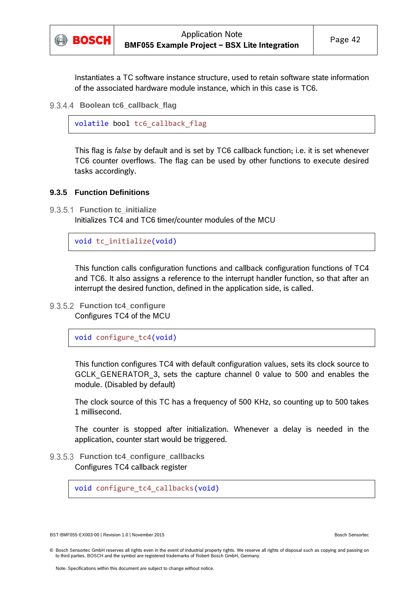

Instantiates a TC software instance structure, used to retain software state information of the associated hardware module instance, which in this case is TC6.

```
9.3.4.4 Boolean tc6 callback flag
```

```
volatile bool tc6 callback flag
```
This flag is *false* by default and is set by TC6 callback function; i.e. it is set whenever TC6 counter overflows. The flag can be used by other functions to execute desired tasks accordingly.

#### <span id="page-41-0"></span>**9.3.5 Function Definitions**

9.3.5.1 Function tc\_initialize

Initializes TC4 and TC6 timer/counter modules of the MCU

void tc\_initialize(void)

This function calls configuration functions and callback configuration functions of TC4 and TC6. It also assigns a reference to the interrupt handler function, so that after an interrupt the desired function, defined in the application side, is called.

9.3.5.2 Function tc4 configure Configures TC4 of the MCU

void configure\_tc4(void)

This function configures TC4 with default configuration values, sets its clock source to GCLK GENERATOR 3, sets the capture channel 0 value to 500 and enables the module. (Disabled by default)

The clock source of this TC has a frequency of 500 KHz, so counting up to 500 takes 1 millisecond.

The counter is stopped after initialization. Whenever a delay is needed in the application, counter start would be triggered.

9.3.5.3 Function tc4 configure callbacks

Configures TC4 callback register

void configure tc4 callbacks(void)

BST-BMF055-EX003-00 | Revision 1.0 | November 2015 Bosch Sensortec

<sup>©</sup> Bosch Sensortec GmbH reserves all rights even in the event of industrial property rights. We reserve all rights of disposal such as copying and passing on to third parties. BOSCH and the symbol are registered trademarks of Robert Bosch GmbH, Germany.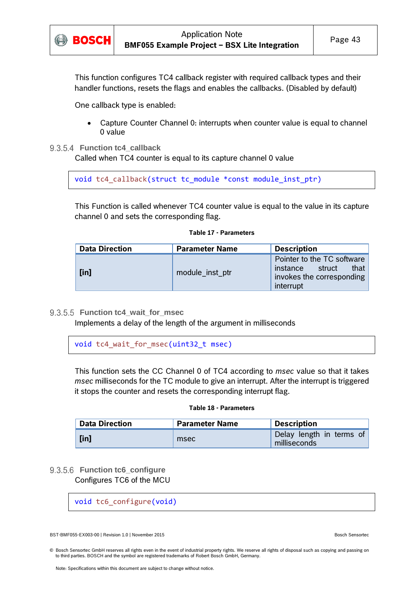

This function configures TC4 callback register with required callback types and their handler functions, resets the flags and enables the callbacks. (Disabled by default)

One callback type is enabled:

 Capture Counter Channel 0: interrupts when counter value is equal to channel 0 value

#### **Function tc4\_callback**

Called when TC4 counter is equal to its capture channel 0 value

void tc4\_callback(struct tc\_module \*const module\_inst\_ptr)

This Function is called whenever TC4 counter value is equal to the value in its capture channel 0 and sets the corresponding flag.

#### **Table 17 - Parameters**

| <b>Data Direction</b> | <b>Parameter Name</b> | <b>Description</b>                                                                                 |
|-----------------------|-----------------------|----------------------------------------------------------------------------------------------------|
| $[$ in]               | module inst ptr       | Pointer to the TC software<br>struct<br>that<br>instance<br>invokes the corresponding<br>interrupt |

9.3.5.5 Function tc4 wait for msec

Implements a delay of the length of the argument in milliseconds

void tc4 wait for msec(uint32 t msec)

This function sets the CC Channel 0 of TC4 according to *msec* value so that it takes *msec* milliseconds for the TC module to give an interrupt. After the interrupt is triggered it stops the counter and resets the corresponding interrupt flag.

#### **Table 18 - Parameters**

| <b>Data Direction</b> | <b>Parameter Name</b> | <b>Description</b>                       |
|-----------------------|-----------------------|------------------------------------------|
| $[$ in]               | msec                  | Delay length in terms of<br>milliseconds |

9.3.5.6 Function tc6 configure

Configures TC6 of the MCU

void tc6\_configure(void)

<sup>©</sup> Bosch Sensortec GmbH reserves all rights even in the event of industrial property rights. We reserve all rights of disposal such as copying and passing on to third parties. BOSCH and the symbol are registered trademarks of Robert Bosch GmbH, Germany.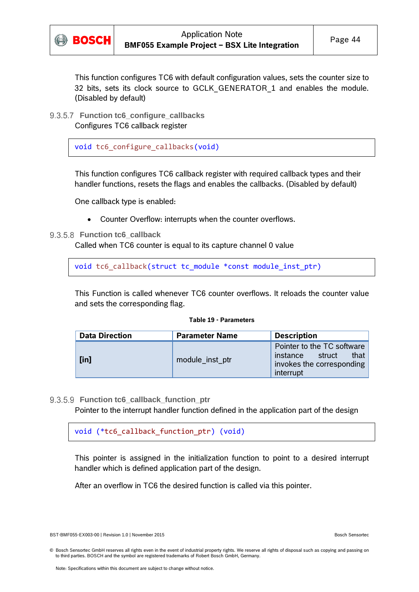

This function configures TC6 with default configuration values, sets the counter size to 32 bits, sets its clock source to GCLK GENERATOR 1 and enables the module. (Disabled by default)

**Function tc6\_configure\_callbacks**

```
Configures TC6 callback register
```

```
void tc6_configure_callbacks(void)
```
This function configures TC6 callback register with required callback types and their handler functions, resets the flags and enables the callbacks. (Disabled by default)

One callback type is enabled:

- Counter Overflow: interrupts when the counter overflows.
- 9.3.5.8 Function tc6 callback

Called when TC6 counter is equal to its capture channel 0 value

void tc6 callback(struct tc module \*const module inst ptr)

This Function is called whenever TC6 counter overflows. It reloads the counter value and sets the corresponding flag.

#### **Table 19 - Parameters**

| <b>Data Direction</b> | <b>Parameter Name</b> | <b>Description</b>                                                                              |
|-----------------------|-----------------------|-------------------------------------------------------------------------------------------------|
| [in]                  | module inst ptr       | Pointer to the TC software<br>instance struct<br>that<br>invokes the corresponding<br>interrupt |

9.3.5.9 Function tc6 callback function ptr

Pointer to the interrupt handler function defined in the application part of the design

void (\*tc6\_callback\_function\_ptr) (void)

This pointer is assigned in the initialization function to point to a desired interrupt handler which is defined application part of the design.

After an overflow in TC6 the desired function is called via this pointer.

<sup>©</sup> Bosch Sensortec GmbH reserves all rights even in the event of industrial property rights. We reserve all rights of disposal such as copying and passing on to third parties. BOSCH and the symbol are registered trademarks of Robert Bosch GmbH, Germany.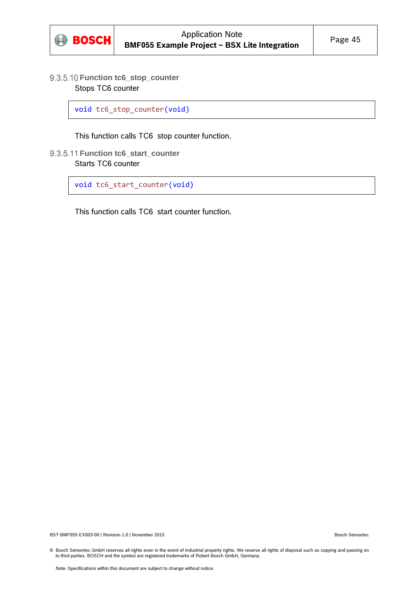

#### **Function tc6\_stop\_counter** Stops TC6 counter

void tc6\_stop\_counter(void)

This function calls TC6 stop counter function.

#### **Function tc6\_start\_counter** Starts TC6 counter

void tc6\_start\_counter(void)

This function calls TC6 start counter function.

BST-BMF055-EX003-00 | Revision 1.0 | November 2015 | November 2015 | November 2015 | November 2015 | Bosch Sensortec

© Bosch Sensortec GmbH reserves all rights even in the event of industrial property rights. We reserve all rights of disposal such as copying and passing on to third parties. BOSCH and the symbol are registered trademarks of Robert Bosch GmbH, Germany.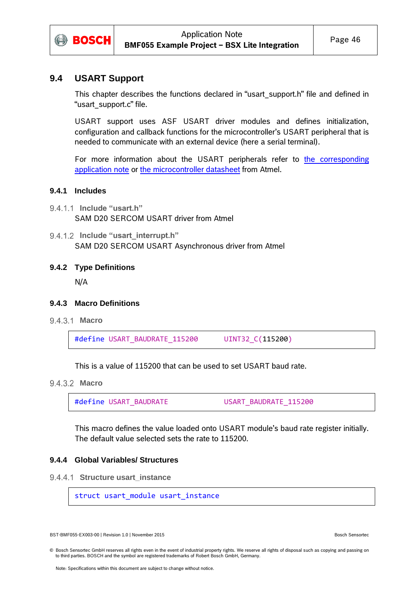

#### <span id="page-45-0"></span>**9.4 USART Support**

This chapter describes the functions declared in "usart support.h" file and defined in "usart\_support.c" file.

USART support uses ASF USART driver modules and defines initialization, configuration and callback functions for the microcontroller's USART peripheral that is needed to communicate with an external device (here a serial terminal).

For more information about the USART peripherals refer to [the corresponding](http://www.atmel.com/Images/Atmel-42118-SAM-D20-D21-Serial-USART-Driver-SERCOM-USART_Application-Note_AT03256.pdf)  [application note](http://www.atmel.com/Images/Atmel-42118-SAM-D20-D21-Serial-USART-Driver-SERCOM-USART_Application-Note_AT03256.pdf) or [the microcontroller datasheet](http://www.atmel.com/Images/atmel-42129-sam-d20_datasheet.pdf) from Atmel.

#### <span id="page-45-1"></span>**9.4.1 Includes**

- **Include "usart.h"** SAM D20 SERCOM USART driver from Atmel
- 9.4.1.2 Include "usart\_interrupt.h" SAM D20 SERCOM USART Asynchronous driver from Atmel

#### <span id="page-45-2"></span>**9.4.2 Type Definitions**

N/A

#### <span id="page-45-3"></span>**9.4.3 Macro Definitions**

9.4.3.1 **Macro** 

#define USART\_BAUDRATE\_115200 UINT32\_C(115200)

This is a value of 115200 that can be used to set USART baud rate.

#### 9.4.3.2 **Macro**

#define USART\_BAUDRATE USART\_BAUDRATE\_115200

This macro defines the value loaded onto USART module's baud rate register initially. The default value selected sets the rate to 115200.

#### <span id="page-45-4"></span>**9.4.4 Global Variables/ Structures**

9.4.4.1 Structure usart instance

struct usart module usart instance

BST-BMF055-EX003-00 | Revision 1.0 | November 2015 Bosch Sensortec

<sup>©</sup> Bosch Sensortec GmbH reserves all rights even in the event of industrial property rights. We reserve all rights of disposal such as copying and passing on to third parties. BOSCH and the symbol are registered trademarks of Robert Bosch GmbH, Germany.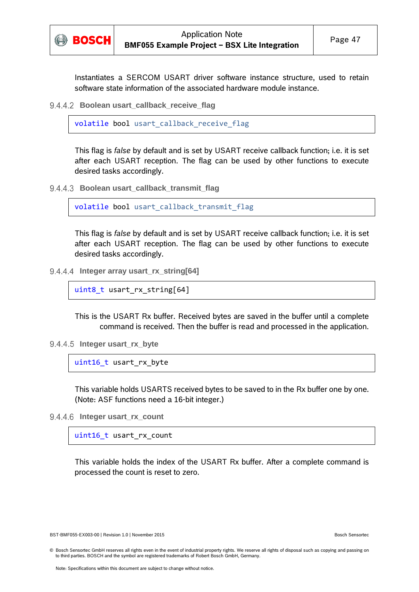

Instantiates a SERCOM USART driver software instance structure, used to retain software state information of the associated hardware module instance.

9.4.4.2 Boolean usart callback receive flag

volatile bool usart callback receive flag

This flag is *false* by default and is set by USART receive callback function; i.e. it is set after each USART reception. The flag can be used by other functions to execute desired tasks accordingly.

**Boolean usart\_callback\_transmit\_flag**

volatile bool usart callback transmit flag

This flag is *false* by default and is set by USART receive callback function; i.e. it is set after each USART reception. The flag can be used by other functions to execute desired tasks accordingly.

9.4.4.4 Integer array usart rx string[64]

```
uint8 t usart rx string[64]
```
This is the USART Rx buffer. Received bytes are saved in the buffer until a complete command is received. Then the buffer is read and processed in the application.

9.4.4.5 Integer usart rx byte

uint16 t usart rx byte

This variable holds USARTS received bytes to be saved to in the Rx buffer one by one. (Note: ASF functions need a 16-bit integer.)

**Integer usart\_rx\_count**

uint16 t usart rx count

This variable holds the index of the USART Rx buffer. After a complete command is processed the count is reset to zero.

<sup>©</sup> Bosch Sensortec GmbH reserves all rights even in the event of industrial property rights. We reserve all rights of disposal such as copying and passing on to third parties. BOSCH and the symbol are registered trademarks of Robert Bosch GmbH, Germany.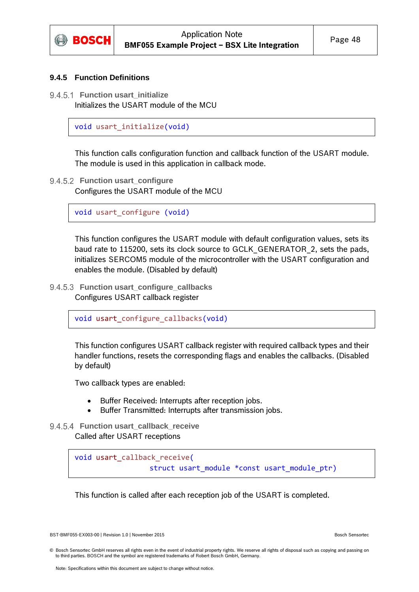

#### <span id="page-47-0"></span>**9.4.5 Function Definitions**

9.4.5.1 Function usart initialize Initializes the USART module of the MCU

void usart\_initialize(void)

This function calls configuration function and callback function of the USART module. The module is used in this application in callback mode.

**Function usart\_configure** Configures the USART module of the MCU

void usart\_configure (void)

This function configures the USART module with default configuration values, sets its baud rate to 115200, sets its clock source to GCLK\_GENERATOR\_2, sets the pads, initializes SERCOM5 module of the microcontroller with the USART configuration and enables the module. (Disabled by default)

**Function usart\_configure\_callbacks** Configures USART callback register

void usart configure callbacks(void)

This function configures USART callback register with required callback types and their handler functions, resets the corresponding flags and enables the callbacks. (Disabled by default)

Two callback types are enabled:

- Buffer Received: Interrupts after reception jobs.
- Buffer Transmitted: Interrupts after transmission jobs.
- 9.4.5.4 Function usart callback receive Called after USART receptions

```
void usart callback receive(
     struct usart_module *const usart_module_ptr)
```
This function is called after each reception job of the USART is completed.

BST-BMF055-EX003-00 | Revision 1.0 | November 2015 Bosch Sensortec

<sup>©</sup> Bosch Sensortec GmbH reserves all rights even in the event of industrial property rights. We reserve all rights of disposal such as copying and passing on to third parties. BOSCH and the symbol are registered trademarks of Robert Bosch GmbH, Germany.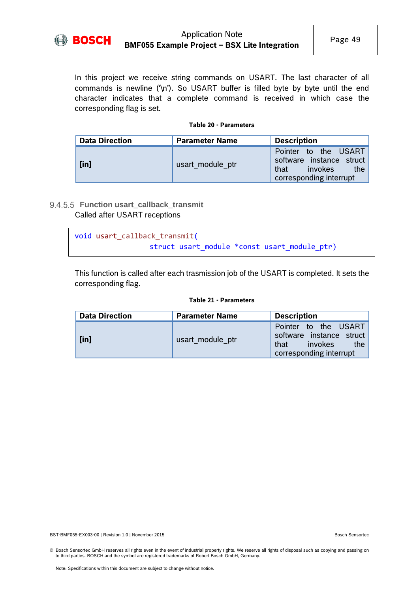

In this project we receive string commands on USART. The last character of all commands is newline ('\n'). So USART buffer is filled byte by byte until the end character indicates that a complete command is received in which case the corresponding flag is set.

#### **Table 20 - Parameters**

| <b>Data Direction</b> | <b>Parameter Name</b> | <b>Description</b>                                                                                    |
|-----------------------|-----------------------|-------------------------------------------------------------------------------------------------------|
| $[$ in]               | usart module ptr      | Pointer to the USART<br>software instance struct<br>invokes<br>the<br>that<br>corresponding interrupt |

#### 9.4.5.5 Function usart callback transmit Called after USART receptions

| void usart callback transmit(                |  |
|----------------------------------------------|--|
| struct usart module *const usart module ptr) |  |

This function is called after each trasmission job of the USART is completed. It sets the corresponding flag.

#### **Table 21 - Parameters**

| <b>Data Direction</b> | <b>Parameter Name</b> | <b>Description</b>                                                                                    |
|-----------------------|-----------------------|-------------------------------------------------------------------------------------------------------|
| $[$ in]               | usart module ptr      | Pointer to the USART<br>software instance struct<br>invokes<br>the<br>that<br>corresponding interrupt |

BST-BMF055-EX003-00 | Revision 1.0 | November 2015 | November 2015 | November 2015 | November 2015 | Bosch Sensortec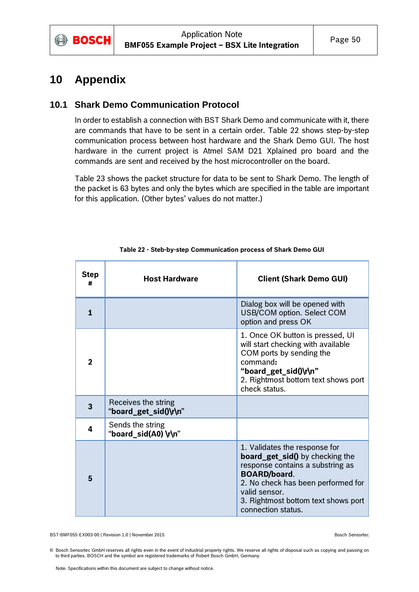

### <span id="page-49-0"></span>**10 Appendix**

### <span id="page-49-1"></span>**10.1 Shark Demo Communication Protocol**

In order to establish a connection with BST Shark Demo and communicate with it, there are commands that have to be sent in a certain order. [Table 22](#page-49-2) shows step-by-step communication process between host hardware and the Shark Demo GUI. The host hardware in the current project is Atmel SAM D21 Xplained pro board and the commands are sent and received by the host microcontroller on the board.

[Table 23](#page-51-0) shows the packet structure for data to be sent to Shark Demo. The length of the packet is 63 bytes and only the bytes which are specified in the table are important for this application. (Other bytes' values do not matter.)

<span id="page-49-2"></span>

| <b>Step</b><br># | <b>Host Hardware</b>                         | <b>Client (Shark Demo GUI)</b>                                                                                                                                                                                                                         |
|------------------|----------------------------------------------|--------------------------------------------------------------------------------------------------------------------------------------------------------------------------------------------------------------------------------------------------------|
| 1                |                                              | Dialog box will be opened with<br>USB/COM option. Select COM<br>option and press OK                                                                                                                                                                    |
| $\mathbf 2$      |                                              | 1. Once OK button is pressed, UI<br>will start checking with available<br>COM ports by sending the<br>command:<br>"board_get_sid()\r\n"<br>2. Rightmost bottom text shows port<br>check status.                                                        |
| 3                | Receives the string<br>"board_get_sid()\r\n" |                                                                                                                                                                                                                                                        |
| 4                | Sends the string<br>"board_sid(A0) \r\n"     |                                                                                                                                                                                                                                                        |
| 5                |                                              | 1. Validates the response for<br><b>board_get_sid()</b> by checking the<br>response contains a substring as<br><b>BOARD/board.</b><br>2. No check has been performed for<br>valid sensor.<br>3. Rightmost bottom text shows port<br>connection status. |

#### **Table 22 - Steb-by-step Communication process of Shark Demo GUI**

BST-BMF055-EX003-00 | Revision 1.0 | November 2015 Bosch Sensortec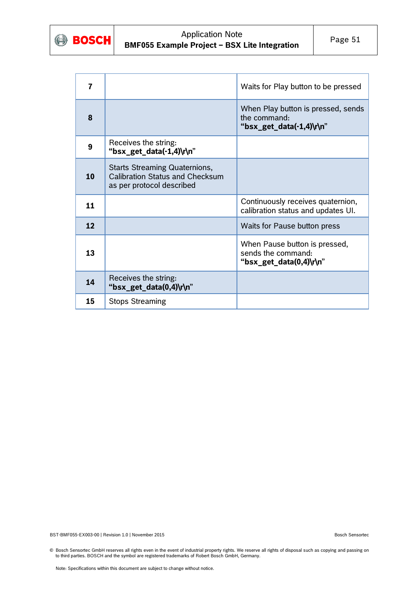

|    |                                                                                                             | Waits for Play button to be pressed                                            |
|----|-------------------------------------------------------------------------------------------------------------|--------------------------------------------------------------------------------|
| 8  |                                                                                                             | When Play button is pressed, sends<br>the command:<br>"bsx_get_data(-1,4)\r\n" |
| 9  | Receives the string:<br>"bsx_get_data(-1,4)\r\n"                                                            |                                                                                |
| 10 | <b>Starts Streaming Quaternions,</b><br><b>Calibration Status and Checksum</b><br>as per protocol described |                                                                                |
| 11 |                                                                                                             | Continuously receives quaternion,<br>calibration status and updates UI.        |
| 12 |                                                                                                             | Waits for Pause button press                                                   |
| 13 |                                                                                                             | When Pause button is pressed,<br>sends the command:<br>"bsx_get_data(0,4)\r\n" |
| 14 | Receives the string:<br>"bsx_get_data(0,4)\r\n"                                                             |                                                                                |
| 15 | <b>Stops Streaming</b>                                                                                      |                                                                                |

BST-BMF055-EX003-00 | Revision 1.0 | November 2015 | November 2015 | November 2015 | November 2015 | Bosch Sensortec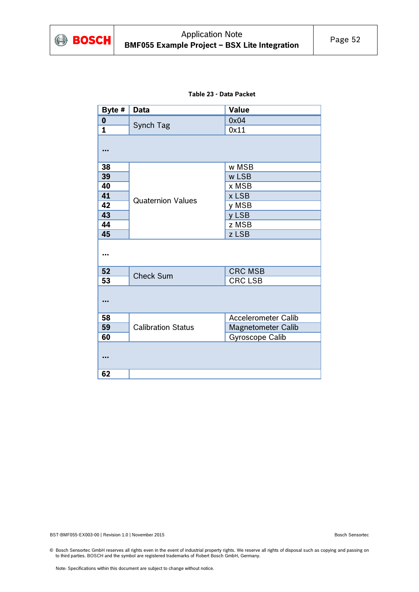

|  |  |  | Table 23 - Data Packet |
|--|--|--|------------------------|
|--|--|--|------------------------|

<span id="page-51-0"></span>

| Byte #                  | <b>Data</b>               | <b>Value</b>               |  |
|-------------------------|---------------------------|----------------------------|--|
| $\boldsymbol{0}$        |                           | 0x04                       |  |
| $\mathbf{1}$            | Synch Tag                 | 0x11                       |  |
| $\ddot{\phantom{a}}$    |                           |                            |  |
| 38                      |                           | w MSB                      |  |
| 39                      |                           | w LSB                      |  |
| 40                      |                           | x MSB                      |  |
| 41                      | <b>Quaternion Values</b>  | x LSB                      |  |
| 42                      |                           | y MSB                      |  |
| 43                      |                           | y LSB                      |  |
| 44                      |                           | z MSB                      |  |
| 45                      |                           | z LSB                      |  |
| $\ddotsc$               |                           |                            |  |
| 52                      | <b>Check Sum</b>          | <b>CRC MSB</b>             |  |
| 53                      |                           | <b>CRC LSB</b>             |  |
| $\bullet\bullet\bullet$ |                           |                            |  |
| 58                      |                           | <b>Accelerometer Calib</b> |  |
| 59                      | <b>Calibration Status</b> | <b>Magnetometer Calib</b>  |  |
| 60                      |                           | Gyroscope Calib            |  |
|                         |                           |                            |  |
| 62                      |                           |                            |  |

BST-BMF055-EX003-00 | Revision 1.0 | November 2015 | November 2015 | November 2015 | November 2015 | Bosch Sensortec

© Bosch Sensortec GmbH reserves all rights even in the event of industrial property rights. We reserve all rights of disposal such as copying and passing on to third parties. BOSCH and the symbol are registered trademarks of Robert Bosch GmbH, Germany.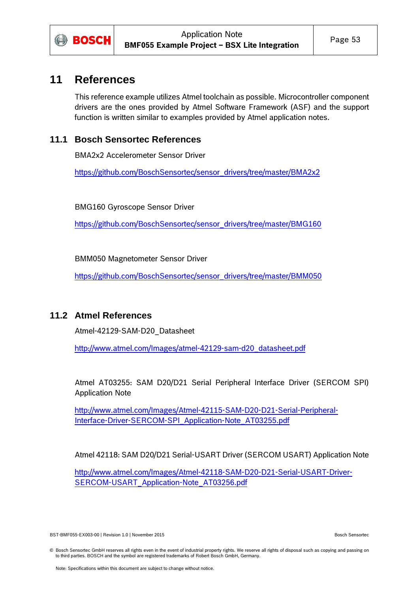

### <span id="page-52-0"></span>**11 References**

This reference example utilizes Atmel toolchain as possible. Microcontroller component drivers are the ones provided by Atmel Software Framework (ASF) and the support function is written similar to examples provided by Atmel application notes.

### <span id="page-52-1"></span>**11.1 Bosch Sensortec References**

BMA2x2 Accelerometer Sensor Driver

[https://github.com/BoschSensortec/sensor\\_drivers/tree/master/BMA2x2](https://github.com/BoschSensortec/sensor_drivers/tree/master/BMA2x2)

BMG160 Gyroscope Sensor Driver

[https://github.com/BoschSensortec/sensor\\_drivers/tree/master/BMG160](https://github.com/BoschSensortec/sensor_drivers/tree/master/BMG160)

BMM050 Magnetometer Sensor Driver

[https://github.com/BoschSensortec/sensor\\_drivers/tree/master/BMM050](https://github.com/BoschSensortec/sensor_drivers/tree/master/BMM050)

#### <span id="page-52-2"></span>**11.2 Atmel References**

Atmel-42129-SAM-D20\_Datasheet

[http://www.atmel.com/Images/atmel-42129-sam-d20\\_datasheet.pdf](http://www.atmel.com/Images/atmel-42129-sam-d20_datasheet.pdf)

Atmel AT03255: SAM D20/D21 Serial Peripheral Interface Driver (SERCOM SPI) Application Note

[http://www.atmel.com/Images/Atmel-42115-SAM-D20-D21-Serial-Peripheral-](http://www.atmel.com/Images/Atmel-42115-SAM-D20-D21-Serial-Peripheral-Interface-Driver-SERCOM-SPI_Application-Note_AT03255.pdf)[Interface-Driver-SERCOM-SPI\\_Application-Note\\_AT03255.pdf](http://www.atmel.com/Images/Atmel-42115-SAM-D20-D21-Serial-Peripheral-Interface-Driver-SERCOM-SPI_Application-Note_AT03255.pdf)

Atmel 42118: SAM D20/D21 Serial-USART Driver (SERCOM USART) Application Note

[http://www.atmel.com/Images/Atmel-42118-SAM-D20-D21-Serial-USART-Driver-](http://www.atmel.com/Images/Atmel-42118-SAM-D20-D21-Serial-USART-Driver-SERCOM-USART_Application-Note_AT03256.pdf)[SERCOM-USART\\_Application-Note\\_AT03256.pdf](http://www.atmel.com/Images/Atmel-42118-SAM-D20-D21-Serial-USART-Driver-SERCOM-USART_Application-Note_AT03256.pdf)

BST-BMF055-EX003-00 | Revision 1.0 | November 2015 Bosch Sensortec

<sup>©</sup> Bosch Sensortec GmbH reserves all rights even in the event of industrial property rights. We reserve all rights of disposal such as copying and passing on to third parties. BOSCH and the symbol are registered trademarks of Robert Bosch GmbH, Germany.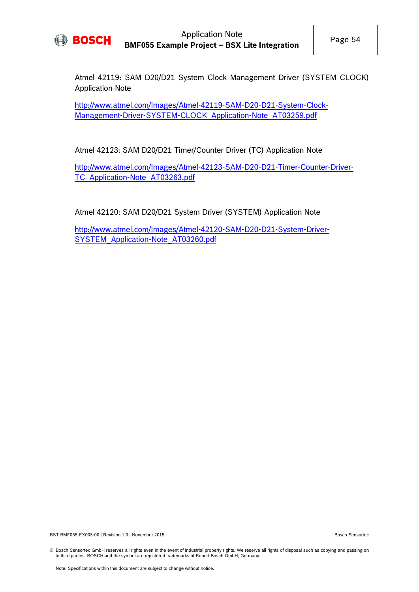

Atmel 42119: SAM D20/D21 System Clock Management Driver (SYSTEM CLOCK) Application Note

[http://www.atmel.com/Images/Atmel-42119-SAM-D20-D21-System-Clock-](http://www.atmel.com/Images/Atmel-42119-SAM-D20-D21-System-Clock-Management-Driver-SYSTEM-CLOCK_Application-Note_AT03259.pdf)[Management-Driver-SYSTEM-CLOCK\\_Application-Note\\_AT03259.pdf](http://www.atmel.com/Images/Atmel-42119-SAM-D20-D21-System-Clock-Management-Driver-SYSTEM-CLOCK_Application-Note_AT03259.pdf)

Atmel 42123: SAM D20/D21 Timer/Counter Driver (TC) Application Note

[http://www.atmel.com/Images/Atmel-42123-SAM-D20-D21-Timer-Counter-Driver-](http://www.atmel.com/Images/Atmel-42123-SAM-D20-D21-Timer-Counter-Driver-TC_Application-Note_AT03263.pdf)[TC\\_Application-Note\\_AT03263.pdf](http://www.atmel.com/Images/Atmel-42123-SAM-D20-D21-Timer-Counter-Driver-TC_Application-Note_AT03263.pdf)

Atmel 42120: SAM D20/D21 System Driver (SYSTEM) Application Note

[http://www.atmel.com/Images/Atmel-42120-SAM-D20-D21-System-Driver-](http://www.atmel.com/Images/Atmel-42120-SAM-D20-D21-System-Driver-SYSTEM_Application-Note_AT03260.pdf)[SYSTEM\\_Application-Note\\_AT03260.pdf](http://www.atmel.com/Images/Atmel-42120-SAM-D20-D21-System-Driver-SYSTEM_Application-Note_AT03260.pdf)

BST-BMF055-EX003-00 | Revision 1.0 | November 2015 | November 2015 | November 2015 | November 2015 | Bosch Sensortec

© Bosch Sensortec GmbH reserves all rights even in the event of industrial property rights. We reserve all rights of disposal such as copying and passing on to third parties. BOSCH and the symbol are registered trademarks of Robert Bosch GmbH, Germany.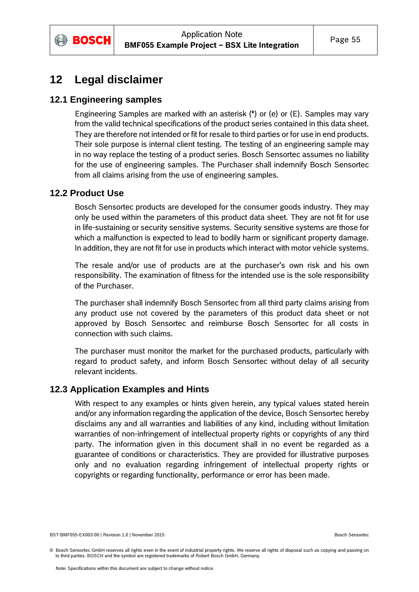

### <span id="page-54-0"></span>**12 Legal disclaimer**

#### <span id="page-54-1"></span>**12.1 Engineering samples**

Engineering Samples are marked with an asterisk (\*) or (e) or (E). Samples may vary from the valid technical specifications of the product series contained in this data sheet. They are therefore not intended or fit for resale to third parties or for use in end products. Their sole purpose is internal client testing. The testing of an engineering sample may in no way replace the testing of a product series. Bosch Sensortec assumes no liability for the use of engineering samples. The Purchaser shall indemnify Bosch Sensortec from all claims arising from the use of engineering samples.

#### <span id="page-54-2"></span>**12.2 Product Use**

Bosch Sensortec products are developed for the consumer goods industry. They may only be used within the parameters of this product data sheet. They are not fit for use in life-sustaining or security sensitive systems. Security sensitive systems are those for which a malfunction is expected to lead to bodily harm or significant property damage. In addition, they are not fit for use in products which interact with motor vehicle systems.

The resale and/or use of products are at the purchaser's own risk and his own responsibility. The examination of fitness for the intended use is the sole responsibility of the Purchaser.

The purchaser shall indemnify Bosch Sensortec from all third party claims arising from any product use not covered by the parameters of this product data sheet or not approved by Bosch Sensortec and reimburse Bosch Sensortec for all costs in connection with such claims.

The purchaser must monitor the market for the purchased products, particularly with regard to product safety, and inform Bosch Sensortec without delay of all security relevant incidents.

#### <span id="page-54-3"></span>**12.3 Application Examples and Hints**

With respect to any examples or hints given herein, any typical values stated herein and/or any information regarding the application of the device, Bosch Sensortec hereby disclaims any and all warranties and liabilities of any kind, including without limitation warranties of non-infringement of intellectual property rights or copyrights of any third party. The information given in this document shall in no event be regarded as a guarantee of conditions or characteristics. They are provided for illustrative purposes only and no evaluation regarding infringement of intellectual property rights or copyrights or regarding functionality, performance or error has been made.

<sup>©</sup> Bosch Sensortec GmbH reserves all rights even in the event of industrial property rights. We reserve all rights of disposal such as copying and passing on to third parties. BOSCH and the symbol are registered trademarks of Robert Bosch GmbH, Germany.